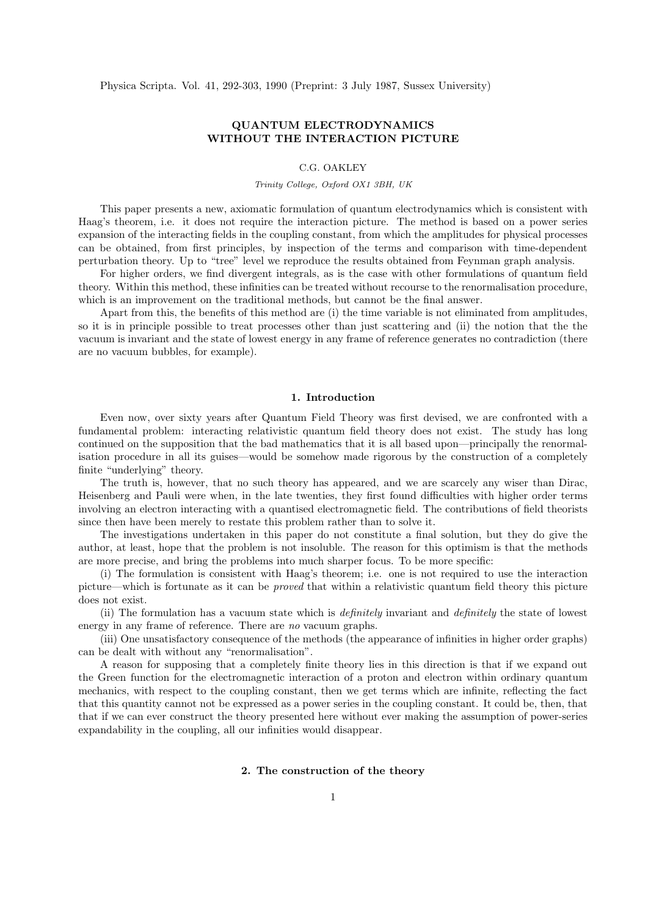Physica Scripta. Vol. 41, 292-303, 1990 (Preprint: 3 July 1987, Sussex University)

# QUANTUM ELECTRODYNAMICS WITHOUT THE INTERACTION PICTURE

# C.G. OAKLEY

### Trinity College, Oxford OX1 3BH, UK

This paper presents a new, axiomatic formulation of quantum electrodynamics which is consistent with Haag's theorem, i.e. it does not require the interaction picture. The method is based on a power series expansion of the interacting fields in the coupling constant, from which the amplitudes for physical processes can be obtained, from first principles, by inspection of the terms and comparison with time-dependent perturbation theory. Up to "tree" level we reproduce the results obtained from Feynman graph analysis.

For higher orders, we find divergent integrals, as is the case with other formulations of quantum field theory. Within this method, these infinities can be treated without recourse to the renormalisation procedure, which is an improvement on the traditional methods, but cannot be the final answer.

Apart from this, the benefits of this method are (i) the time variable is not eliminated from amplitudes, so it is in principle possible to treat processes other than just scattering and (ii) the notion that the the vacuum is invariant and the state of lowest energy in any frame of reference generates no contradiction (there are no vacuum bubbles, for example).

## 1. Introduction

Even now, over sixty years after Quantum Field Theory was first devised, we are confronted with a fundamental problem: interacting relativistic quantum field theory does not exist. The study has long continued on the supposition that the bad mathematics that it is all based upon—principally the renormalisation procedure in all its guises—would be somehow made rigorous by the construction of a completely finite "underlying" theory.

The truth is, however, that no such theory has appeared, and we are scarcely any wiser than Dirac, Heisenberg and Pauli were when, in the late twenties, they first found difficulties with higher order terms involving an electron interacting with a quantised electromagnetic field. The contributions of field theorists since then have been merely to restate this problem rather than to solve it.

The investigations undertaken in this paper do not constitute a final solution, but they do give the author, at least, hope that the problem is not insoluble. The reason for this optimism is that the methods are more precise, and bring the problems into much sharper focus. To be more specific:

(i) The formulation is consistent with Haag's theorem; i.e. one is not required to use the interaction picture—which is fortunate as it can be proved that within a relativistic quantum field theory this picture does not exist.

(ii) The formulation has a vacuum state which is definitely invariant and definitely the state of lowest energy in any frame of reference. There are no vacuum graphs.

(iii) One unsatisfactory consequence of the methods (the appearance of infinities in higher order graphs) can be dealt with without any "renormalisation".

A reason for supposing that a completely finite theory lies in this direction is that if we expand out the Green function for the electromagnetic interaction of a proton and electron within ordinary quantum mechanics, with respect to the coupling constant, then we get terms which are infinite, reflecting the fact that this quantity cannot not be expressed as a power series in the coupling constant. It could be, then, that that if we can ever construct the theory presented here without ever making the assumption of power-series expandability in the coupling, all our infinities would disappear.

#### 2. The construction of the theory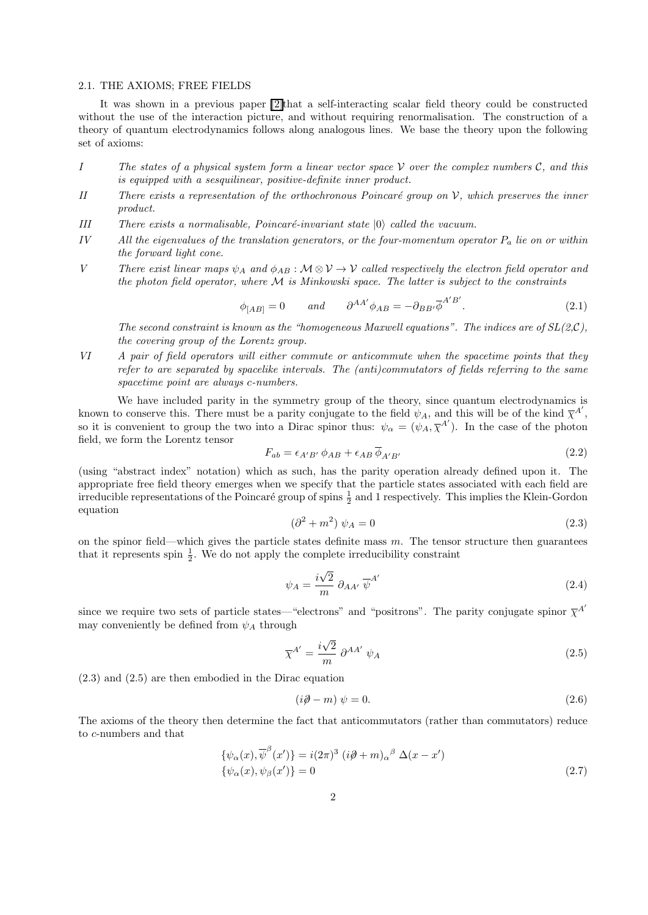#### 2.1. THE AXIOMS; FREE FIELDS

It was shown in a previous paper [\[2\]t](http://www.cgoakley.demon.co.uk/qft/dipe.pdf)hat a self-interacting scalar field theory could be constructed without the use of the interaction picture, and without requiring renormalisation. The construction of a theory of quantum electrodynamics follows along analogous lines. We base the theory upon the following set of axioms:

- I The states of a physical system form a linear vector space  $\mathcal V$  over the complex numbers  $\mathcal C$ , and this is equipped with a sesquilinear, positive-definite inner product.
- II There exists a representation of the orthochronous Poincaré group on  $\mathcal{V}$ , which preserves the inner product.
- III There exists a normalisable, Poincaré-invariant state  $|0\rangle$  called the vacuum.
- IV All the eigenvalues of the translation generators, or the four-momentum operator  $P_a$  lie on or within the forward light cone.
- V There exist linear maps  $\psi_A$  and  $\phi_{AB}$ :  $\mathcal{M} \otimes \mathcal{V} \to \mathcal{V}$  called respectively the electron field operator and the photon field operator, where  $\mathcal M$  is Minkowski space. The latter is subject to the constraints

$$
\phi_{[AB]} = 0 \qquad and \qquad \partial^{AA'} \phi_{AB} = -\partial_{BB'} \overline{\phi}^{A'B'}.
$$
 (2.1)

The second constraint is known as the "homogeneous Maxwell equations". The indices are of  $SL(2,\mathcal{C})$ , the covering group of the Lorentz group.

VI A pair of field operators will either commute or anticommute when the spacetime points that they refer to are separated by spacelike intervals. The (anti)commutators of fields referring to the same spacetime point are always c-numbers.

We have included parity in the symmetry group of the theory, since quantum electrodynamics is known to conserve this. There must be a parity conjugate to the field  $\psi_A$ , and this will be of the kind  $\overline{\chi}^{A'}$ , so it is convenient to group the two into a Dirac spinor thus:  $\psi_{\alpha} = (\psi_A, \overline{\chi}^{A'})$ . In the case of the photon field, we form the Lorentz tensor

$$
F_{ab} = \epsilon_{A'B'} \phi_{AB} + \epsilon_{AB} \overline{\phi}_{A'B'} \tag{2.2}
$$

(using "abstract index" notation) which as such, has the parity operation already defined upon it. The appropriate free field theory emerges when we specify that the particle states associated with each field are irreducible representations of the Poincaré group of spins  $\frac{1}{2}$  and 1 respectively. This implies the Klein-Gordon equation

$$
\left(\partial^2 + m^2\right)\psi_A = 0\tag{2.3}
$$

on the spinor field—which gives the particle states definite mass  $m$ . The tensor structure then guarantees that it represents spin  $\frac{1}{2}$ . We do not apply the complete irreducibility constraint

$$
\psi_A = \frac{i\sqrt{2}}{m} \partial_{AA'} \overline{\psi}^{A'} \tag{2.4}
$$

since we require two sets of particle states—"electrons" and "positrons". The parity conjugate spinor  $\bar{\chi}^{A'}$ may conveniently be defined from  $\psi_A$  through

$$
\overline{\chi}^{A'} = \frac{i\sqrt{2}}{m} \partial^{AA'} \psi_A \tag{2.5}
$$

(2.3) and (2.5) are then embodied in the Dirac equation

$$
(i\partial \hspace{-.08in}\partial -m)\hspace{.08in} \psi = 0. \tag{2.6}
$$

The axioms of the theory then determine the fact that anticommutators (rather than commutators) reduce to c-numbers and that

$$
\{\psi_{\alpha}(x), \overline{\psi}^{\beta}(x')\} = i(2\pi)^{3} (i\partial + m)_{\alpha}{}^{\beta} \Delta(x - x')
$$
  

$$
\{\psi_{\alpha}(x), \psi_{\beta}(x')\} = 0
$$
 (2.7)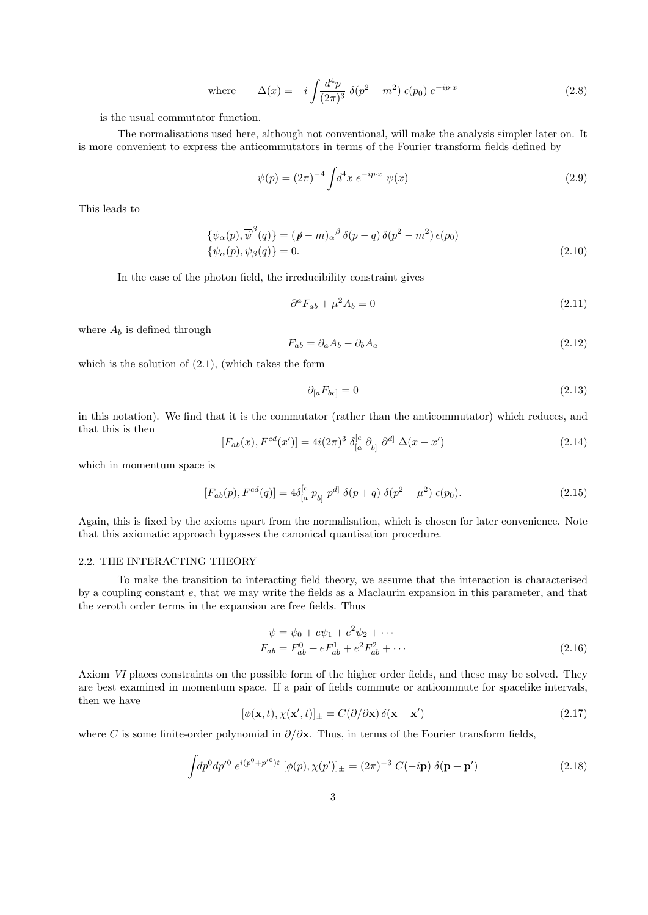where 
$$
\Delta(x) = -i \int \frac{d^4 p}{(2\pi)^3} \ \delta(p^2 - m^2) \ \epsilon(p_0) \ e^{-ip \cdot x}
$$
 (2.8)

is the usual commutator function.

The normalisations used here, although not conventional, will make the analysis simpler later on. It is more convenient to express the anticommutators in terms of the Fourier transform fields defined by

$$
\psi(p) = (2\pi)^{-4} \int d^4x \, e^{-ip \cdot x} \, \psi(x) \tag{2.9}
$$

This leads to

$$
\{\psi_{\alpha}(p), \overline{\psi}^{\beta}(q)\} = (p - m)_{\alpha}{}^{\beta} \delta(p - q) \delta(p^2 - m^2) \epsilon(p_0)
$$
  

$$
\{\psi_{\alpha}(p), \psi_{\beta}(q)\} = 0.
$$
 (2.10)

In the case of the photon field, the irreducibility constraint gives

$$
\partial^a F_{ab} + \mu^2 A_b = 0 \tag{2.11}
$$

where  $A_b$  is defined through

$$
F_{ab} = \partial_a A_b - \partial_b A_a \tag{2.12}
$$

which is the solution of  $(2.1)$ , (which takes the form

$$
\partial_{[a}F_{bc]} = 0\tag{2.13}
$$

in this notation). We find that it is the commutator (rather than the anticommutator) which reduces, and that this is then

$$
[F_{ab}(x), F^{cd}(x')] = 4i(2\pi)^3 \delta_{[a}^{[c} \partial_{b]} \partial^{d]} \Delta(x - x')
$$
 (2.14)

which in momentum space is

$$
[F_{ab}(p), F^{cd}(q)] = 4\delta_{[a}^{[c} \, p_{b]} \, p^{d]} \, \delta(p+q) \, \delta(p^2 - \mu^2) \, \epsilon(p_0). \tag{2.15}
$$

Again, this is fixed by the axioms apart from the normalisation, which is chosen for later convenience. Note that this axiomatic approach bypasses the canonical quantisation procedure.

### 2.2. THE INTERACTING THEORY

To make the transition to interacting field theory, we assume that the interaction is characterised by a coupling constant e, that we may write the fields as a Maclaurin expansion in this parameter, and that the zeroth order terms in the expansion are free fields. Thus

$$
\psi = \psi_0 + e\psi_1 + e^2\psi_2 + \cdots
$$
  
\n
$$
F_{ab} = F_{ab}^0 + eF_{ab}^1 + e^2F_{ab}^2 + \cdots
$$
\n(2.16)

Axiom VI places constraints on the possible form of the higher order fields, and these may be solved. They are best examined in momentum space. If a pair of fields commute or anticommute for spacelike intervals, then we have

$$
[\phi(\mathbf{x},t), \chi(\mathbf{x}',t)]_{\pm} = C(\partial/\partial \mathbf{x}) \,\delta(\mathbf{x} - \mathbf{x}') \tag{2.17}
$$

where C is some finite-order polynomial in  $\partial/\partial x$ . Thus, in terms of the Fourier transform fields,

$$
\int dp^0 dp'^0 e^{i(p^0 + p'^0)t} [\phi(p), \chi(p')]_{\pm} = (2\pi)^{-3} C(-i\mathbf{p}) \delta(\mathbf{p} + \mathbf{p}')
$$
\n(2.18)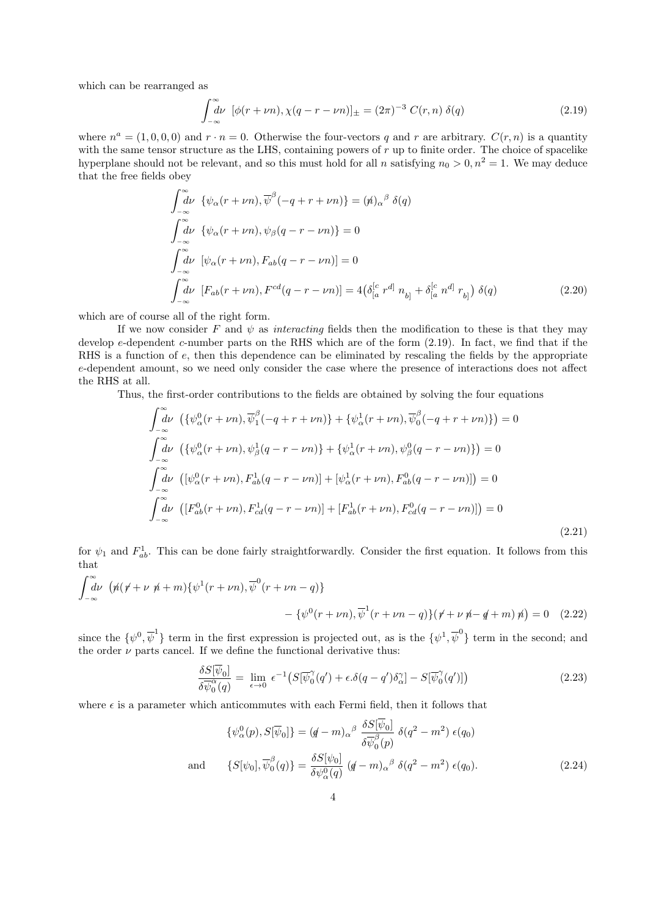which can be rearranged as

$$
\int_{-\infty}^{\infty} d\nu \, [\phi(r+\nu n), \chi(q-r-\nu n)]_{\pm} = (2\pi)^{-3} \, C(r, n) \, \delta(q) \tag{2.19}
$$

where  $n^a = (1, 0, 0, 0)$  and  $r \cdot n = 0$ . Otherwise the four-vectors q and r are arbitrary.  $C(r, n)$  is a quantity with the same tensor structure as the LHS, containing powers of  $r$  up to finite order. The choice of spacelike hyperplane should not be relevant, and so this must hold for all n satisfying  $n_0 > 0, n^2 = 1$ . We may deduce that the free fields obey

$$
\int_{-\infty}^{\infty} d\nu \left\{ \psi_{\alpha}(r+\nu n), \overline{\psi}^{\beta}(-q+r+\nu n) \right\} = (\mathbf{\hat{n}})_{\alpha}{}^{\beta} \delta(q)
$$
\n
$$
\int_{-\infty}^{\infty} d\nu \left\{ \psi_{\alpha}(r+\nu n), \psi_{\beta}(q-r-\nu n) \right\} = 0
$$
\n
$$
\int_{-\infty}^{\infty} d\nu \left[ \psi_{\alpha}(r+\nu n), F_{ab}(q-r-\nu n) \right] = 0
$$
\n
$$
\int_{-\infty}^{\infty} d\nu \left[ F_{ab}(r+\nu n), F^{cd}(q-r-\nu n) \right] = 4 \left( \delta_{[a}^{[c} r^{d]} n_{b]} + \delta_{[a}^{[c} n^{d]} r_{b]} \right) \delta(q)
$$
\n(2.20)

which are of course all of the right form.

If we now consider F and  $\psi$  as interacting fields then the modification to these is that they may develop e-dependent c-number parts on the RHS which are of the form  $(2.19)$ . In fact, we find that if the RHS is a function of e, then this dependence can be eliminated by rescaling the fields by the appropriate e-dependent amount, so we need only consider the case where the presence of interactions does not affect the RHS at all.

Thus, the first-order contributions to the fields are obtained by solving the four equations

$$
\int_{-\infty}^{\infty} d\nu \left( \{ \psi_{\alpha}^{0}(r+\nu n), \overline{\psi}_{1}^{\beta}(-q+r+\nu n) \} + \{ \psi_{\alpha}^{1}(r+\nu n), \overline{\psi}_{0}^{\beta}(-q+r+\nu n) \} \right) = 0
$$
\n
$$
\int_{-\infty}^{\infty} d\nu \left( \{ \psi_{\alpha}^{0}(r+\nu n), \psi_{\beta}^{1}(q-r-\nu n) \} + \{ \psi_{\alpha}^{1}(r+\nu n), \psi_{\beta}^{0}(q-r-\nu n) \} \right) = 0
$$
\n
$$
\int_{-\infty}^{\infty} d\nu \left( [\psi_{\alpha}^{0}(r+\nu n), F_{ab}^{1}(q-r-\nu n)] + [\psi_{\alpha}^{1}(r+\nu n), F_{ab}^{0}(q-r-\nu n)] \right) = 0
$$
\n
$$
\int_{-\infty}^{\infty} d\nu \left( [F_{ab}^{0}(r+\nu n), F_{cd}^{1}(q-r-\nu n)] + [F_{ab}^{1}(r+\nu n), F_{cd}^{0}(q-r-\nu n)] \right) = 0
$$
\n(2.21)

for  $\psi_1$  and  $F_{ab}^1$ . This can be done fairly straightforwardly. Consider the first equation. It follows from this that

$$
\int_{-\infty}^{\infty} d\nu \left( \n\psi \left( \n\psi + \nu \n\psi + m \right) \left\{ \psi^1(r + \nu n), \overline{\psi}^0(r + \nu n - q) \right\} \n- \left\{ \psi^0(r + \nu n), \overline{\psi}^1(r + \nu n - q) \right\} \left( \n\psi + \nu \n\psi - q + m \right) \n\psi \right) = 0 \quad (2.22)
$$

since the  $\{\psi^0, \overline{\psi}^1\}$  term in the first expression is projected out, as is the  $\{\psi^1, \overline{\psi}^0\}$  term in the second; and the order  $\nu$  parts cancel. If we define the functional derivative thus:

$$
\frac{\delta S[\overline{\psi}_0]}{\delta \overline{\psi}_0^{\alpha}(q)} = \lim_{\epsilon \to 0} \epsilon^{-1} \left( S[\overline{\psi}_0^{\gamma}(q') + \epsilon \delta(q - q') \delta_{\alpha}^{\gamma}] - S[\overline{\psi}_0^{\gamma}(q')] \right) \tag{2.23}
$$

where  $\epsilon$  is a parameter which anticommutes with each Fermi field, then it follows that

$$
\{\psi_{\alpha}^{0}(p), S[\overline{\psi}_{0}]\} = (q-m)_{\alpha}{}^{\beta} \frac{\delta S[\psi_{0}]}{\delta \overline{\psi}_{0}^{\beta}(p)} \delta(q^{2}-m^{2}) \epsilon(q_{0})
$$
  
and 
$$
\{S[\psi_{0}], \overline{\psi}_{0}^{\beta}(q)\} = \frac{\delta S[\psi_{0}]}{\delta \psi_{\alpha}^{0}(q)} (q-m)_{\alpha}{}^{\beta} \delta(q^{2}-m^{2}) \epsilon(q_{0}).
$$
 (2.24)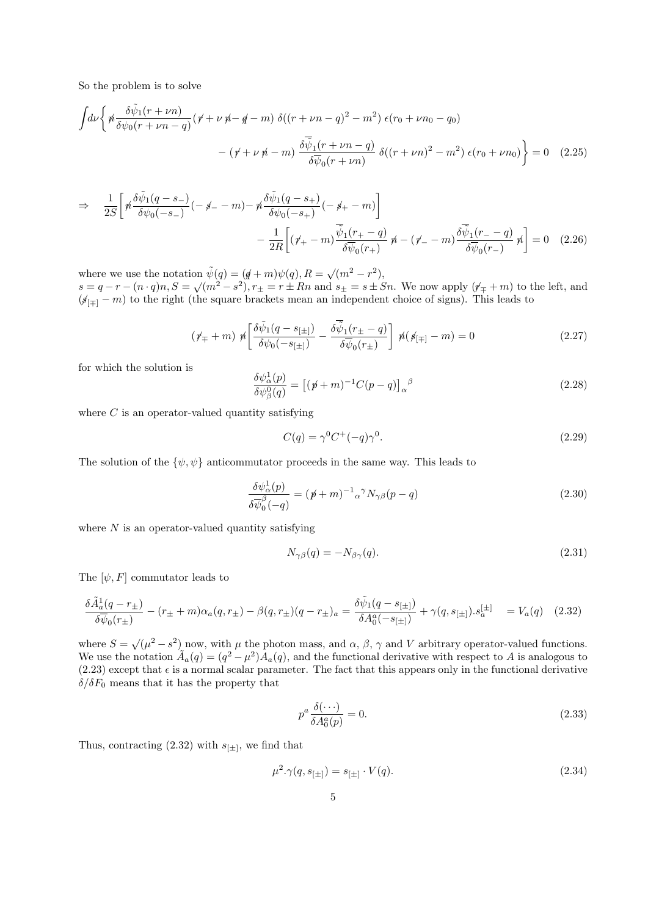So the problem is to solve

$$
\int d\nu \left\{ \n\begin{aligned}\n&\frac{\delta \tilde{\psi}_1(r+\nu n)}{\delta \psi_0(r+\nu n-q)} (\n\dot{r} + \nu \dot{\psi} - \dot{q} - m) \,\delta((r+\nu n-q)^2 - m^2) \,\epsilon(r_0 + \nu n_0 - q_0) \\
&\quad - (\dot{r} + \nu \dot{\psi} - m) \frac{\delta \tilde{\psi}_1(r+\nu n-q)}{\delta \tilde{\psi}_0(r+\nu n)} \,\delta((r+\nu n)^2 - m^2) \,\epsilon(r_0 + \nu n_0) \right\} = 0\n\end{aligned} \tag{2.25}
$$

$$
\Rightarrow \frac{1}{2S} \left[ \n\pi \frac{\delta \tilde{\psi}_1(q-s_-)}{\delta \psi_0(-s_-)} \left( -\n\oint_{-\infty}^{\infty} -m \right) - \n\pi \frac{\delta \tilde{\psi}_1(q-s_+)}{\delta \psi_0(-s_+)} \left( -\n\oint_{+\infty}^{\infty} -m \right) \right] \n-\frac{1}{2R} \left[ \n\pi \left( \n\oint_{+\infty}^{\infty} \frac{\tilde{\psi}_1(r_+ - q)}{\delta \tilde{\psi}_0(r_+)} \n\right) \n\pi \left( -\n\oint_{-\infty}^{\infty} \frac{\tilde{\psi}_1(r_- - q)}{\delta \tilde{\psi}_0(r_-)} \n\right) \n= 0 \quad (2.26)
$$

where we use the notation  $\tilde{\psi}(q) = (q+m)\psi(q), R = \sqrt{(m^2 - r^2)},$ where we use the notation  $\psi(q) - (q + m)\psi(q), n = \sqrt{m - r}$ ,<br>  $s = q - r - (n \cdot q)n, S = \sqrt{m^2 - s^2}, r_{\pm} = r \pm Rn$  and  $s_{\pm} = s \pm Sn$ . We now apply  $(\gamma_{\mp} + m)$  to the left, and  $(\cancel{6}|_{\pm} - m)$  to the right (the square brackets mean an independent choice of signs). This leads to

$$
\left(\rlap{\hspace{0.02cm}/}{\not\!\! \!}+\,m\right)\not{\hspace{0.02cm}/}{\eta}\Bigg[\frac{\delta\tilde{\psi}_{1}(q-s_{[\pm]})}{\delta\psi_{0}(-s_{[\pm]})}-\frac{\delta\overline{\tilde{\psi}_{1}}(r_{\pm}-q)}{\delta\overline{\psi}_{0}(r_{\pm})}\Bigg]\not{\hspace{0.02cm}/}{\eta}(\not{\hspace{0.02cm}} s_{[\mp]}-m)=0\hspace{1cm} (2.27)
$$

for which the solution is

$$
\frac{\delta \psi_{\alpha}^{1}(p)}{\delta \psi_{\beta}^{0}(q)} = \left[ (\not p + m)^{-1} C(p - q) \right]_{\alpha}{}^{\beta} \tag{2.28}
$$

where  $C$  is an operator-valued quantity satisfying

$$
C(q) = \gamma^0 C^+(-q)\gamma^0. \tag{2.29}
$$

The solution of the  $\{\psi, \psi\}$  anticommutator proceeds in the same way. This leads to

$$
\frac{\delta \psi_{\alpha}^{1}(p)}{\delta \overline{\psi}_{0}^{\beta}(-q)} = (\not p + m)^{-1} {\alpha}^{\gamma} N_{\gamma\beta}(p - q)
$$
\n(2.30)

where  $N$  is an operator-valued quantity satisfying

$$
N_{\gamma\beta}(q) = -N_{\beta\gamma}(q). \tag{2.31}
$$

The  $[\psi, F]$  commutator leads to

$$
\frac{\delta \tilde{A}_{a}^{1}(q-r_{\pm})}{\delta \overline{\psi}_{0}(r_{\pm})} - (r_{\pm} + m)\alpha_{a}(q,r_{\pm}) - \beta(q,r_{\pm})(q-r_{\pm})_{a} = \frac{\delta \tilde{\psi}_{1}(q-s_{[\pm]})}{\delta A_{0}^{a}(-s_{[\pm]})} + \gamma(q,s_{[\pm]}).s_{a}^{[\pm]} = V_{a}(q) \quad (2.32)
$$

where  $S = \sqrt{(\mu^2 - s^2)}$  now, with  $\mu$  the photon mass, and  $\alpha$ ,  $\beta$ ,  $\gamma$  and V arbitrary operator-valued functions. We use the notation  $\tilde{A}_a(q) = (q^2 - \mu^2)A_a(q)$ , and the functional derivative with respect to A is analogous to (2.23) except that  $\epsilon$  is a normal scalar parameter. The fact that this appears only in the functional derivative  $\delta/\delta F_0$  means that it has the property that

$$
p^a \frac{\delta(\cdots)}{\delta A_0^a(p)} = 0. \tag{2.33}
$$

Thus, contracting  $(2.32)$  with  $s_{[\pm]}$ , we find that

$$
\mu^2 \cdot \gamma(q, s_{[\pm]}) = s_{[\pm]} \cdot V(q). \tag{2.34}
$$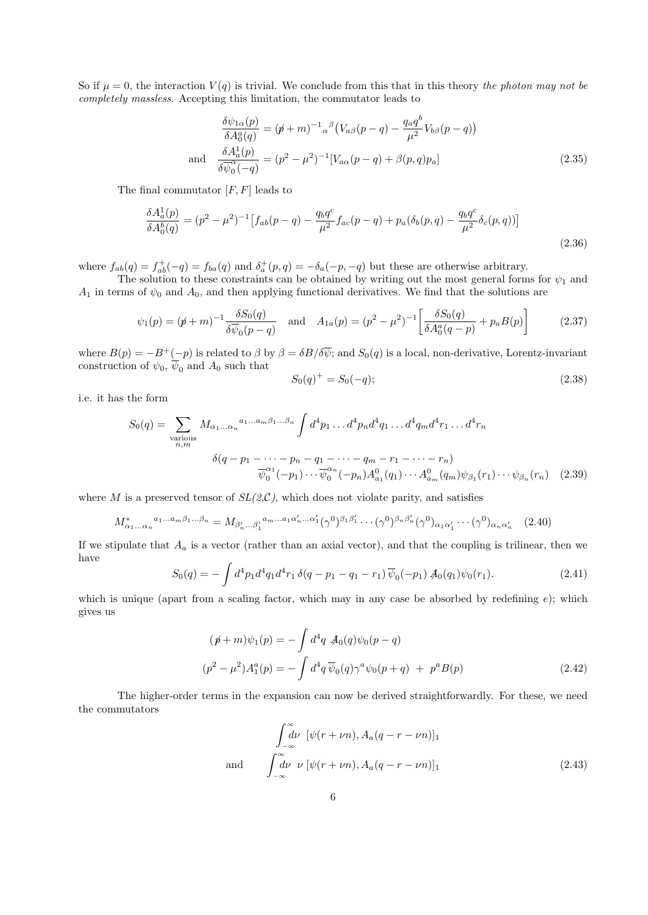So if  $\mu = 0$ , the interaction  $V(q)$  is trivial. We conclude from this that in this theory the photon may not be completely massless. Accepting this limitation, the commutator leads to

$$
\frac{\delta\psi_{1\alpha}(p)}{\delta A_0^a(q)} = (p + m)^{-1} \alpha^\beta \left(V_{\alpha\beta}(p - q) - \frac{q_a q^b}{\mu^2} V_{b\beta}(p - q)\right)
$$
\nand\n
$$
\frac{\delta A_a^1(p)}{\delta \overline{\psi}_0^\alpha(-q)} = (p^2 - \mu^2)^{-1} \left[V_{a\alpha}(p - q) + \beta(p, q)p_a\right]
$$
\n(2.35)

The final commutator  $[F, F]$  leads to

$$
\frac{\delta A_a^1(p)}{\delta A_0^b(q)} = (p^2 - \mu^2)^{-1} \left[ f_{ab}(p - q) - \frac{q_b q^c}{\mu^2} f_{ac}(p - q) + p_a(\delta_b(p, q) - \frac{q_b q^c}{\mu^2} \delta_c(p, q)) \right]
$$
\n(2.36)

where  $f_{ab}(q) = f_{ab}^+(-q) = f_{ba}(q)$  and  $\delta_a^+(p,q) = -\delta_a(-p,-q)$  but these are otherwise arbitrary.

The solution to these constraints can be obtained by writing out the most general forms for  $\psi_1$  and  $A_1$  in terms of  $\psi_0$  and  $A_0$ , and then applying functional derivatives. We find that the solutions are

$$
\psi_1(p) = (p + m)^{-1} \frac{\delta S_0(q)}{\delta \overline{\psi}_0(p - q)} \quad \text{and} \quad A_{1a}(p) = (p^2 - \mu^2)^{-1} \left[ \frac{\delta S_0(q)}{\delta A_0^a(q - p)} + p_a B(p) \right] \tag{2.37}
$$

where  $B(p) = -B^+(\underline{\hspace{0.3cm}}-p)$  is related to  $\beta$  by  $\beta = \delta B/\delta \overline{\psi}$ ; and  $S_0(q)$  is a local, non-derivative, Lorentz-invariant construction of  $\psi_0$ ,  $\overline{\psi}_0$  and  $A_0$  such that

$$
S_0(q)^+ = S_0(-q); \tag{2.38}
$$

i.e. it has the form

$$
S_0(q) = \sum_{\substack{n \text{ various} \\ n,m}} M_{\alpha_1...\alpha_n}^{a_1...\alpha_m \beta_1...\beta_n} \int d^4p_1 \dots d^4p_n d^4q_1 \dots d^4q_m d^4r_1 \dots d^4r_n
$$
  

$$
\delta(q - p_1 - \dots - p_n - q_1 - \dots - q_m - r_1 - \dots - r_n)
$$
  

$$
\overline{\psi}_0^{\alpha_1}(-p_1) \dots \overline{\psi}_0^{\alpha_n}(-p_n) A_{a_1}^0(q_1) \dots A_{a_m}^0(q_m) \psi_{\beta_1}(r_1) \dots \psi_{\beta_n}(r_n) \quad (2.39)
$$

where M is a preserved tensor of  $SL(2,\mathcal{C})$ , which does not violate parity, and satisfies

$$
M^*_{\alpha_1...\alpha_n}{}^{a_1...a_m\beta_1...\beta_n} = M_{\beta'_n...\beta'_1}{}^{a_m...a_1\alpha'_n...\alpha'_1}(\gamma^0)^{\beta_1\beta'_1}\cdots(\gamma^0)^{\beta_n\beta'_n}(\gamma^0)_{\alpha_1\alpha'_1}\cdots(\gamma^0)_{\alpha_n\alpha'_n} \quad (2.40)
$$

If we stipulate that  $A_a$  is a vector (rather than an axial vector), and that the coupling is trilinear, then we have

$$
S_0(q) = -\int d^4p_1 d^4q_1 d^4r_1 \,\delta(q - p_1 - q_1 - r_1) \,\overline{\psi}_0(-p_1) \,\mathcal{A}_0(q_1)\psi_0(r_1). \tag{2.41}
$$

which is unique (apart from a scaling factor, which may in any case be absorbed by redefining  $e$ ); which gives us

$$
(\not p + m)\psi_1(p) = -\int d^4q \not A_0(q)\psi_0(p-q)
$$
  

$$
(p^2 - \mu^2)A_1^a(p) = -\int d^4q \,\overline{\psi}_0(q)\gamma^a\psi_0(p+q) + p^aB(p)
$$
 (2.42)

The higher-order terms in the expansion can now be derived straightforwardly. For these, we need the commutators

$$
\int_{-\infty}^{\infty} d\nu \, [\psi(r+\nu n), A_a(q-r-\nu n)]_1
$$
\nand\n
$$
\int_{-\infty}^{\infty} d\nu \, \nu \, [\psi(r+\nu n), A_a(q-r-\nu n)]_1
$$
\n(2.43)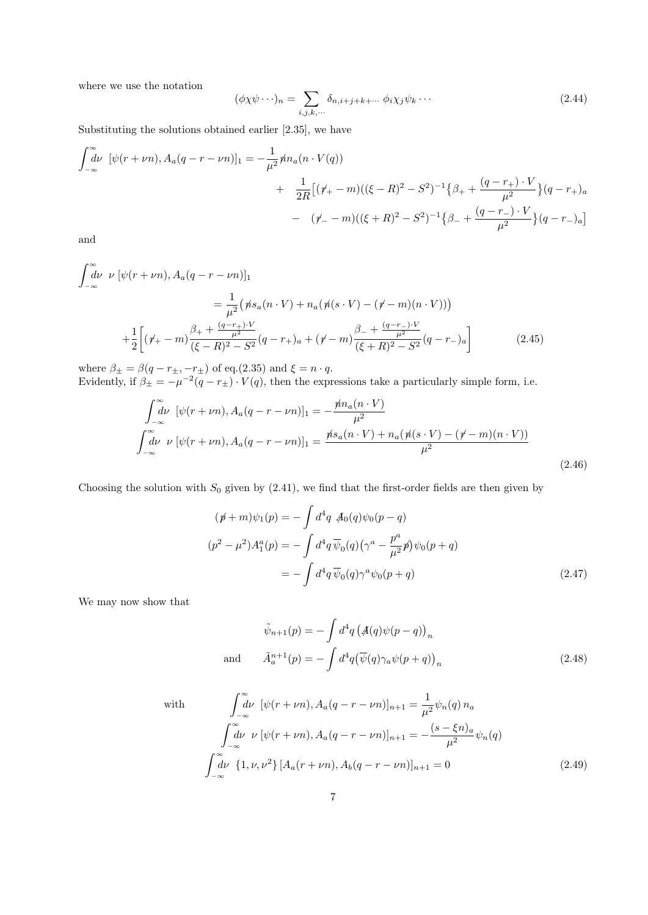where we use the notation

$$
(\phi \chi \psi \cdots)_n = \sum_{i,j,k,\cdots} \delta_{n,i+j+k+\cdots} \phi_i \chi_j \psi_k \cdots \tag{2.44}
$$

Substituting the solutions obtained earlier [2.35], we have

$$
\int_{-\infty}^{\infty} d\nu \, [\psi(r+\nu n), A_a(q-r-\nu n)]_1 = -\frac{1}{\mu^2} \dot{m}_a(n \cdot V(q))
$$
  
+ 
$$
\frac{1}{2R} [(\dot{r}_+ - m)((\xi - R)^2 - S^2)^{-1} {\beta_+} + \frac{(q-r_+) \cdot V}{\mu^2} (q-r_+)_a
$$
  
- 
$$
(\dot{r}_- - m)((\xi + R)^2 - S^2)^{-1} {\beta_-} + \frac{(q-r_-) \cdot V}{\mu^2} (q-r_-)_a]
$$

and

$$
\int_{-\infty}^{\infty} d\nu \ \nu \ [\psi(r+\nu n), A_a(q-r-\nu n)]_1
$$
  
=  $\frac{1}{\mu^2} (\dot{m} s_a(n \cdot V) + n_a(\dot{m} (s \cdot V) - (\dot{r} - m)(n \cdot V)))$   
+  $\frac{1}{2} \Big[ (\dot{r}_+ - m) \frac{\beta_+ + \frac{(q-r_+)\cdot V}{\mu^2}}{(\xi - R)^2 - S^2} (q - r_+)_{a} + (\dot{r} - m) \frac{\beta_- + \frac{(q-r_-)\cdot V}{\mu^2}}{(\xi + R)^2 - S^2} (q - r_-)_{a} \Big]$  (2.45)

where  $\beta_{\pm} = \beta(q - r_{\pm}, -r_{\pm})$  of eq.(2.35) and  $\xi = n \cdot q$ . Evidently, if  $\beta_{\pm} = -\mu^{-2}(q - r_{\pm}) \cdot V(q)$ , then the expressions take a particularly simple form, i.e.

$$
\int_{-\infty}^{\infty} d\nu \, [\psi(r+\nu n), A_a(q-r-\nu n)]_1 = -\frac{\rlap{/}{m_a(n\cdot V)}}{\mu^2}
$$
\n
$$
\int_{-\infty}^{\infty} d\nu \, \nu \, [\psi(r+\nu n), A_a(q-r-\nu n)]_1 = \frac{\rlap{/}{m_a(n\cdot V)} + n_a(\rlap{/}{n(a\cdot V)} - (\rlap{/}{r-m})(n\cdot V))}{\mu^2}
$$
\n(2.46)

Choosing the solution with  $S_0$  given by  $(2.41)$ , we find that the first-order fields are then given by

$$
(\not p + m)\psi_1(p) = -\int d^4q \not A_0(q)\psi_0(p-q)
$$
  
\n
$$
(p^2 - \mu^2)A_1^a(p) = -\int d^4q \,\overline{\psi}_0(q)\left(\gamma^a - \frac{p^a}{\mu^2}\not p\right)\psi_0(p+q)
$$
  
\n
$$
= -\int d^4q \,\overline{\psi}_0(q)\gamma^a\psi_0(p+q)
$$
\n(2.47)

We may now show that

$$
\tilde{\psi}_{n+1}(p) = -\int d^4q \left(\mathcal{A}(q)\psi(p-q)\right)_n
$$
\nand

\n
$$
\tilde{A}_a^{n+1}(p) = -\int d^4q \left(\overline{\psi}(q)\gamma_a\psi(p+q)\right)_n
$$
\n(2.48)

with  
\n
$$
\int_{-\infty}^{\infty} d\nu \, [\psi(r+\nu n), A_a(q-r-\nu n)]_{n+1} = \frac{1}{\mu^2} \psi_n(q) n_a
$$
\n
$$
\int_{-\infty}^{\infty} d\nu \, \nu \, [\psi(r+\nu n), A_a(q-r-\nu n)]_{n+1} = -\frac{(s-\xi n)_a}{\mu^2} \psi_n(q)
$$
\n
$$
\int_{-\infty}^{\infty} d\nu \, \{1, \nu, \nu^2\} \, [A_a(r+\nu n), A_b(q-r-\nu n)]_{n+1} = 0 \tag{2.49}
$$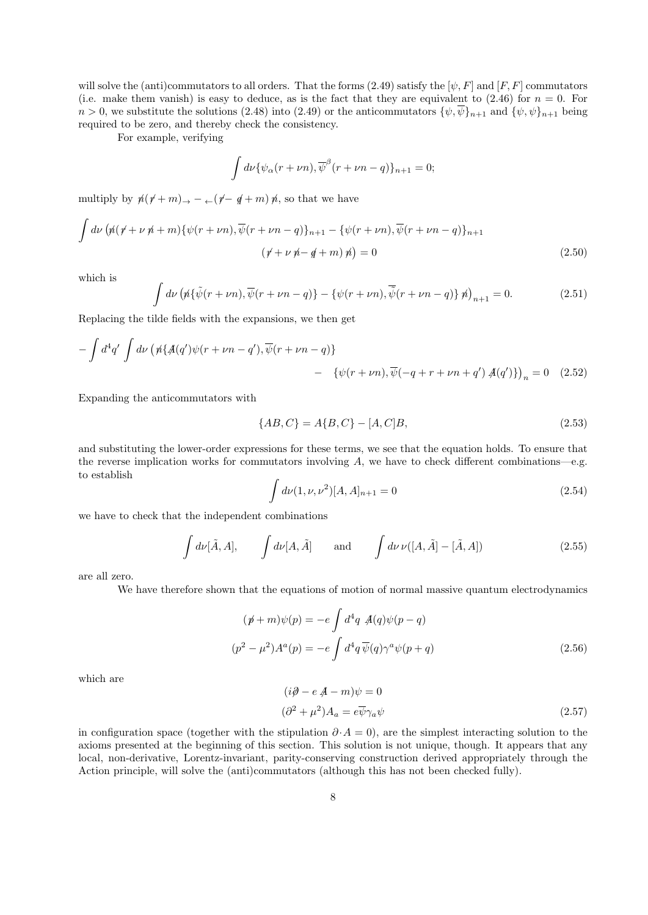will solve the (anti)commutators to all orders. That the forms (2.49) satisfy the  $[\psi, F]$  and  $[F, F]$  commutators (i.e. make them vanish) is easy to deduce, as is the fact that they are equivalent to  $(2.46)$  for  $n = 0$ . For  $n > 0$ , we substitute the solutions (2.48) into (2.49) or the anticommutators  $\{\psi, \overline{\psi}\}_{n+1}$  and  $\{\psi, \psi\}_{n+1}$  being required to be zero, and thereby check the consistency.

For example, verifying

$$
\int d\nu \{ \psi_{\alpha}(r+\nu n), \overline{\psi}^{\beta}(r+\nu n-q) \}_{n+1} = 0;
$$

multiply by  $p(\gamma+m) \rightarrow -\left(\gamma-\gamma+m\right)p$ , so that we have

$$
\int d\nu \left( \n\psi \left( \n\psi + \nu \n\psi + m \right) \n\left\{ \psi \left( r + \nu n \right), \overline{\psi} \left( r + \nu n - q \right) \right\}_{n+1} - \left\{ \psi \left( r + \nu n \right), \overline{\psi} \left( r + \nu n - q \right) \right\}_{n+1} \n\tag{2.50}
$$
\n
$$
\left( \n\psi + \nu \n\psi - \psi + m \right) \n\psi = 0
$$

which is

$$
\int d\nu \left( \n\psi \left( \tilde{\psi}(r+\nu n), \overline{\psi}(r+\nu n-q) \right) - \left\{ \psi(r+\nu n), \overline{\tilde{\psi}}(r+\nu n-q) \right\} \n\psi \right)_{n+1} = 0. \tag{2.51}
$$

Replacing the tilde fields with the expansions, we then get

$$
-\int d^4q' \int d\nu \left(\n\pi \left(\frac{\mathcal{A}}{\mathcal{A}}(q')\psi(r+\nu n-q'),\overline{\psi}(r+\nu n-q)\right)\n\right) - \left(\psi(r+\nu n),\overline{\psi}(-q+r+\nu n+q')\right)\n\mathcal{A}(q')\right)_n = 0 \quad (2.52)
$$

Expanding the anticommutators with

$$
\{AB, C\} = A\{B, C\} - [A, C]B,\tag{2.53}
$$

and substituting the lower-order expressions for these terms, we see that the equation holds. To ensure that the reverse implication works for commutators involving  $A$ , we have to check different combinations—e.g. to establish

$$
\int d\nu (1, \nu, \nu^2) [A, A]_{n+1} = 0 \tag{2.54}
$$

we have to check that the independent combinations

$$
\int d\nu[\tilde{A}, A], \qquad \int d\nu[A, \tilde{A}] \qquad \text{and} \qquad \int d\nu \,\nu([A, \tilde{A}] - [\tilde{A}, A]) \tag{2.55}
$$

are all zero.

We have therefore shown that the equations of motion of normal massive quantum electrodynamics

$$
(\not p + m)\psi(p) = -e \int d^4q \mathcal{A}(q)\psi(p-q)
$$
  

$$
(p^2 - \mu^2)A^a(p) = -e \int d^4q \overline{\psi}(q)\gamma^a\psi(p+q)
$$
 (2.56)

which are

$$
(\mathrm{i}\partial - e A - m)\psi = 0
$$
  

$$
(\partial^2 + \mu^2)A_a = e\overline{\psi}\gamma_a\psi
$$
 (2.57)

in configuration space (together with the stipulation  $\partial \cdot A = 0$ ), are the simplest interacting solution to the axioms presented at the beginning of this section. This solution is not unique, though. It appears that any local, non-derivative, Lorentz-invariant, parity-conserving construction derived appropriately through the Action principle, will solve the (anti)commutators (although this has not been checked fully).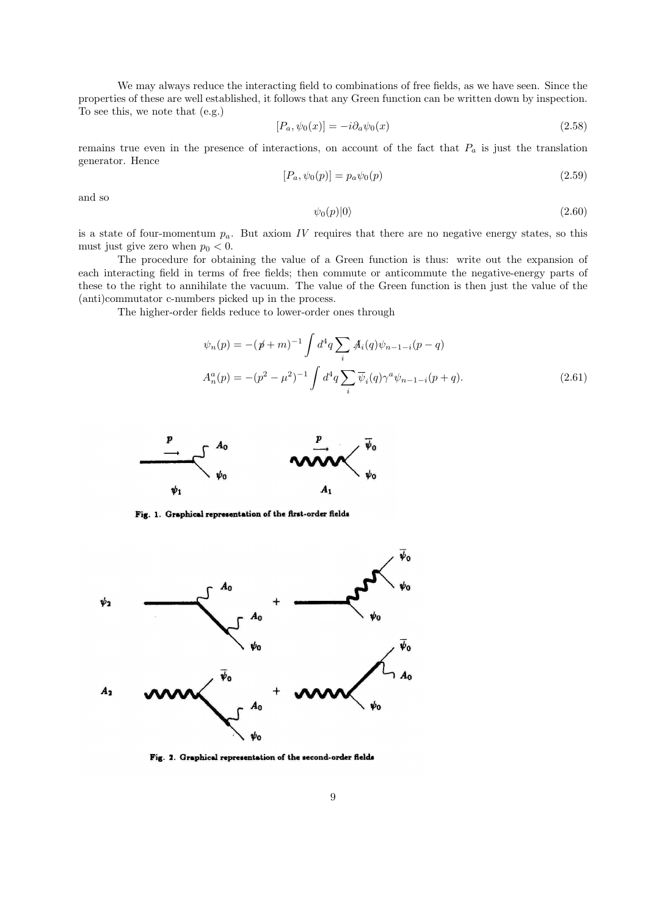We may always reduce the interacting field to combinations of free fields, as we have seen. Since the properties of these are well established, it follows that any Green function can be written down by inspection. To see this, we note that (e.g.)

$$
[P_a, \psi_0(x)] = -i\partial_a\psi_0(x) \tag{2.58}
$$

remains true even in the presence of interactions, on account of the fact that  $P_a$  is just the translation generator. Hence

$$
[P_a, \psi_0(p)] = p_a \psi_0(p) \tag{2.59}
$$

and so

$$
\psi_0(p)|0\rangle\tag{2.60}
$$

is a state of four-momentum  $p_a$ . But axiom IV requires that there are no negative energy states, so this must just give zero when  $p_0 < 0$ .

The procedure for obtaining the value of a Green function is thus: write out the expansion of each interacting field in terms of free fields; then commute or anticommute the negative-energy parts of these to the right to annihilate the vacuum. The value of the Green function is then just the value of the (anti)commutator c-numbers picked up in the process.

The higher-order fields reduce to lower-order ones through

$$
\psi_n(p) = -(\not p + m)^{-1} \int d^4q \sum_i \mathcal{A}_i(q) \psi_{n-1-i}(p-q)
$$
  

$$
A_n^a(p) = -(p^2 - \mu^2)^{-1} \int d^4q \sum_i \overline{\psi}_i(q) \gamma^a \psi_{n-1-i}(p+q).
$$
 (2.61)



Fig. 1. Graphical representation of the first-order fields



Fig. 2. Graphical representation of the second-order fields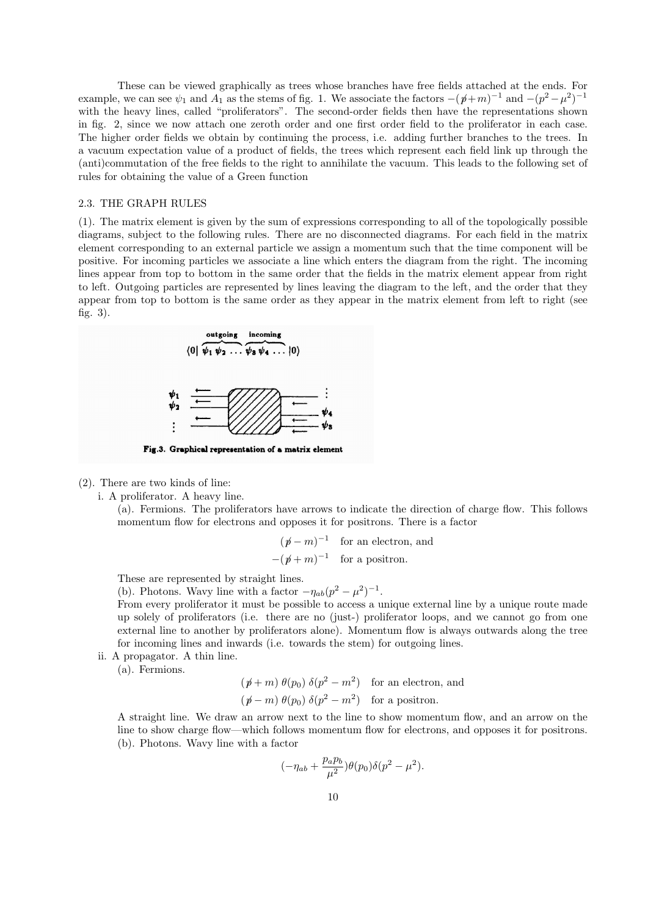These can be viewed graphically as trees whose branches have free fields attached at the ends. For example, we can see  $\psi_1$  and  $A_1$  as the stems of fig. 1. We associate the factors  $-(p+m)^{-1}$  and  $-(p^2-\mu^2)^{-1}$ with the heavy lines, called "proliferators". The second-order fields then have the representations shown in fig. 2, since we now attach one zeroth order and one first order field to the proliferator in each case. The higher order fields we obtain by continuing the process, i.e. adding further branches to the trees. In a vacuum expectation value of a product of fields, the trees which represent each field link up through the (anti)commutation of the free fields to the right to annihilate the vacuum. This leads to the following set of rules for obtaining the value of a Green function

### 2.3. THE GRAPH RULES

(1). The matrix element is given by the sum of expressions corresponding to all of the topologically possible diagrams, subject to the following rules. There are no disconnected diagrams. For each field in the matrix element corresponding to an external particle we assign a momentum such that the time component will be positive. For incoming particles we associate a line which enters the diagram from the right. The incoming lines appear from top to bottom in the same order that the fields in the matrix element appear from right to left. Outgoing particles are represented by lines leaving the diagram to the left, and the order that they appear from top to bottom is the same order as they appear in the matrix element from left to right (see fig. 3).



(2). There are two kinds of line:

i. A proliferator. A heavy line.

(a). Fermions. The proliferators have arrows to indicate the direction of charge flow. This follows momentum flow for electrons and opposes it for positrons. There is a factor

$$
(p-p)^{-1}
$$
 for an electron, and  
 $-(p+p)^{-1}$  for a positron.

These are represented by straight lines.

(b). Photons. Wavy line with a factor  $-\eta_{ab}(p^2-\mu^2)^{-1}$ .

From every proliferator it must be possible to access a unique external line by a unique route made up solely of proliferators (i.e. there are no (just-) proliferator loops, and we cannot go from one external line to another by proliferators alone). Momentum flow is always outwards along the tree for incoming lines and inwards (i.e. towards the stem) for outgoing lines.

ii. A propagator. A thin line.

(a). Fermions.

$$
(p + m) \theta(p_0) \delta(p^2 - m^2)
$$
 for an electron, and  
\n $(p - m) \theta(p_0) \delta(p^2 - m^2)$  for a positron.

A straight line. We draw an arrow next to the line to show momentum flow, and an arrow on the line to show charge flow—which follows momentum flow for electrons, and opposes it for positrons. (b). Photons. Wavy line with a factor

$$
(-\eta_{ab} + \frac{p_a p_b}{\mu^2})\theta(p_0)\delta(p^2 - \mu^2).
$$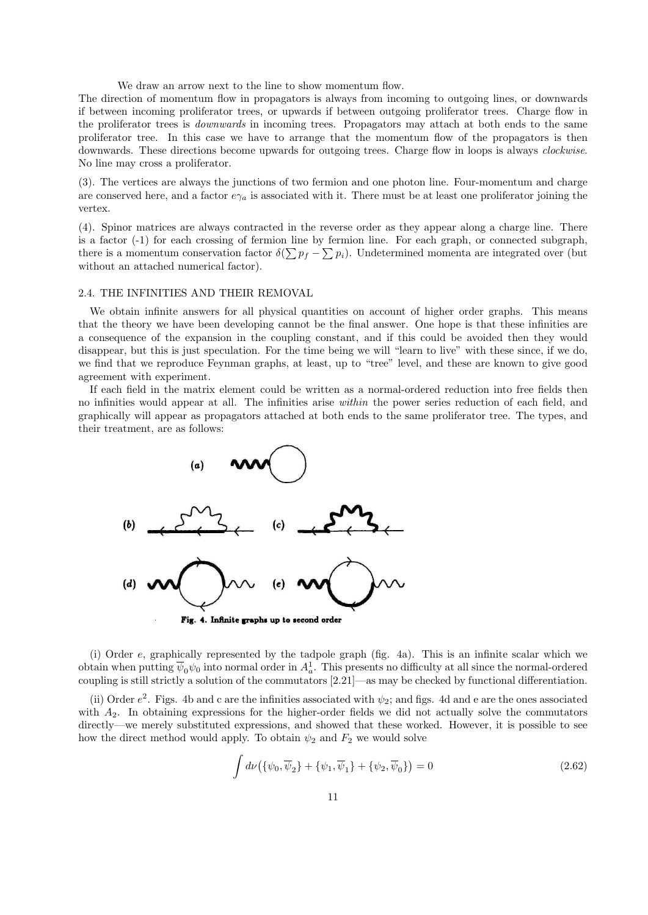We draw an arrow next to the line to show momentum flow.

The direction of momentum flow in propagators is always from incoming to outgoing lines, or downwards if between incoming proliferator trees, or upwards if between outgoing proliferator trees. Charge flow in the proliferator trees is downwards in incoming trees. Propagators may attach at both ends to the same proliferator tree. In this case we have to arrange that the momentum flow of the propagators is then downwards. These directions become upwards for outgoing trees. Charge flow in loops is always *clockwise*. No line may cross a proliferator.

(3). The vertices are always the junctions of two fermion and one photon line. Four-momentum and charge are conserved here, and a factor  $e\gamma_a$  is associated with it. There must be at least one proliferator joining the vertex.

(4). Spinor matrices are always contracted in the reverse order as they appear along a charge line. There is a factor (-1) for each crossing of fermion line by fermion line. For each graph, or connected subgraph, there is a momentum conservation factor  $\delta(\sum p_f - \sum p_i)$ . Undetermined momenta are integrated over (but without an attached numerical factor).

## 2.4. THE INFINITIES AND THEIR REMOVAL

We obtain infinite answers for all physical quantities on account of higher order graphs. This means that the theory we have been developing cannot be the final answer. One hope is that these infinities are a consequence of the expansion in the coupling constant, and if this could be avoided then they would disappear, but this is just speculation. For the time being we will "learn to live" with these since, if we do, we find that we reproduce Feynman graphs, at least, up to "tree" level, and these are known to give good agreement with experiment.

If each field in the matrix element could be written as a normal-ordered reduction into free fields then no infinities would appear at all. The infinities arise within the power series reduction of each field, and graphically will appear as propagators attached at both ends to the same proliferator tree. The types, and their treatment, are as follows:



(i) Order e, graphically represented by the tadpole graph (fig. 4a). This is an infinite scalar which we obtain when putting  $\overline{\psi}_0\psi_0$  into normal order in  $A_a^1$ . This presents no difficulty at all since the normal-ordered coupling is still strictly a solution of the commutators [2.21]—as may be checked by functional differentiation.

(ii) Order  $e^2$ . Figs. 4b and c are the infinities associated with  $\psi_2$ ; and figs. 4d and e are the ones associated with  $A_2$ . In obtaining expressions for the higher-order fields we did not actually solve the commutators directly—we merely substituted expressions, and showed that these worked. However, it is possible to see how the direct method would apply. To obtain  $\psi_2$  and  $F_2$  we would solve

$$
\int d\nu (\{\psi_0, \overline{\psi}_2\} + \{\psi_1, \overline{\psi}_1\} + \{\psi_2, \overline{\psi}_0\}) = 0
$$
\n(2.62)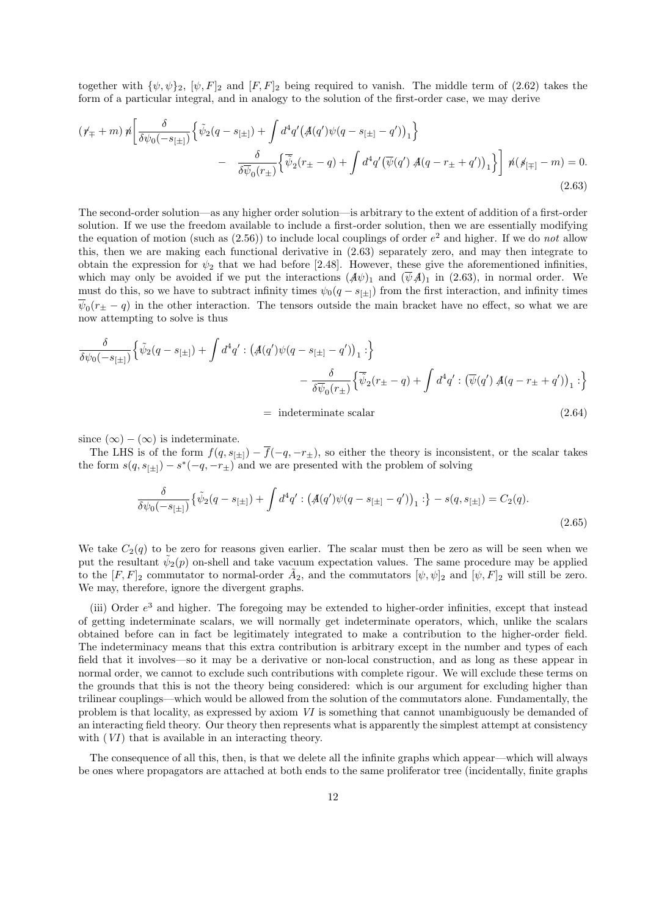together with  $\{\psi, \psi\}_2$ ,  $[\psi, F]_2$  and  $[F, F]_2$  being required to vanish. The middle term of (2.62) takes the form of a particular integral, and in analogy to the solution of the first-order case, we may derive

$$
(\psi_{\mp} + m) \,\n\hbar \left[ \frac{\delta}{\delta \psi_0(-s_{[\pm]})} \left\{ \tilde{\psi}_2(q - s_{[\pm]}) + \int d^4 q' \big( \mathcal{A}(q') \psi(q - s_{[\pm]} - q') \big)_1 \right\} \right] \\
- \frac{\delta}{\delta \overline{\psi}_0(r_{\pm})} \left\{ \overline{\tilde{\psi}}_2(r_{\pm} - q) + \int d^4 q' \big( \overline{\psi}(q') \, \mathcal{A}(q - r_{\pm} + q') \big)_1 \right\} \right] \,\n\hbar(\psi_{[\mp]} - m) = 0. \tag{2.63}
$$

The second-order solution—as any higher order solution—is arbitrary to the extent of addition of a first-order solution. If we use the freedom available to include a first-order solution, then we are essentially modifying the equation of motion (such as  $(2.56)$ ) to include local couplings of order  $e<sup>2</sup>$  and higher. If we do not allow this, then we are making each functional derivative in (2.63) separately zero, and may then integrate to obtain the expression for  $\psi_2$  that we had before [2.48]. However, these give the aforementioned infinities, which may only be avoided if we put the interactions  $(A\psi)_1$  and  $(\bar{\psi}A)_1$  in (2.63), in normal order. We must do this, so we have to subtract infinity times  $\psi_0(q - s_{[+]})$  from the first interaction, and infinity times  $\psi_0(r_{\pm} - q)$  in the other interaction. The tensors outside the main bracket have no effect, so what we are now attempting to solve is thus

$$
\frac{\delta}{\delta \psi_0(-s_{[\pm]})} \Big\{ \tilde{\psi}_2(q - s_{[\pm]}) + \int d^4 q' : \left( \mathcal{A}(q') \psi(q - s_{[\pm]} - q') \right)_1 : \Big\} \n- \frac{\delta}{\delta \overline{\psi}_0(r_{\pm})} \Big\{ \overline{\tilde{\psi}}_2(r_{\pm} - q) + \int d^4 q' : \left( \overline{\psi}(q') \mathcal{A}(q - r_{\pm} + q') \right)_1 : \Big\}
$$

$$
= \text{ indeterminate scalar} \tag{2.64}
$$

since  $(\infty) - (\infty)$  is indeterminate.

The LHS is of the form  $f(q, s_{[\pm]}) - \overline{f}(-q, -r_{\pm})$ , so either the theory is inconsistent, or the scalar takes the form  $s(q, s_{[\pm]}) - s^*(-q, -r_{\pm})$  and we are presented with the problem of solving

$$
\frac{\delta}{\delta\psi_0(-s_{[\pm]})}\left\{\tilde{\psi}_2(q-s_{[\pm]})+\int d^4q':\left(\mathcal{A}(q')\psi(q-s_{[\pm]}-q')\right)_1:\right\}-s(q,s_{[\pm]})=C_2(q). \tag{2.65}
$$

We take  $C_2(q)$  to be zero for reasons given earlier. The scalar must then be zero as will be seen when we put the resultant  $\tilde{\psi}_2(p)$  on-shell and take vacuum expectation values. The same procedure may be applied to the  $[F, F]_2$  commutator to normal-order  $\tilde{A}_2$ , and the commutators  $[\psi, \psi]_2$  and  $[\psi, F]_2$  will still be zero. We may, therefore, ignore the divergent graphs.

(iii) Order  $e<sup>3</sup>$  and higher. The foregoing may be extended to higher-order infinities, except that instead of getting indeterminate scalars, we will normally get indeterminate operators, which, unlike the scalars obtained before can in fact be legitimately integrated to make a contribution to the higher-order field. The indeterminacy means that this extra contribution is arbitrary except in the number and types of each field that it involves—so it may be a derivative or non-local construction, and as long as these appear in normal order, we cannot to exclude such contributions with complete rigour. We will exclude these terms on the grounds that this is not the theory being considered: which is our argument for excluding higher than trilinear couplings—which would be allowed from the solution of the commutators alone. Fundamentally, the problem is that locality, as expressed by axiom VI is something that cannot unambiguously be demanded of an interacting field theory. Our theory then represents what is apparently the simplest attempt at consistency with  $(VI)$  that is available in an interacting theory.

The consequence of all this, then, is that we delete all the infinite graphs which appear—which will always be ones where propagators are attached at both ends to the same proliferator tree (incidentally, finite graphs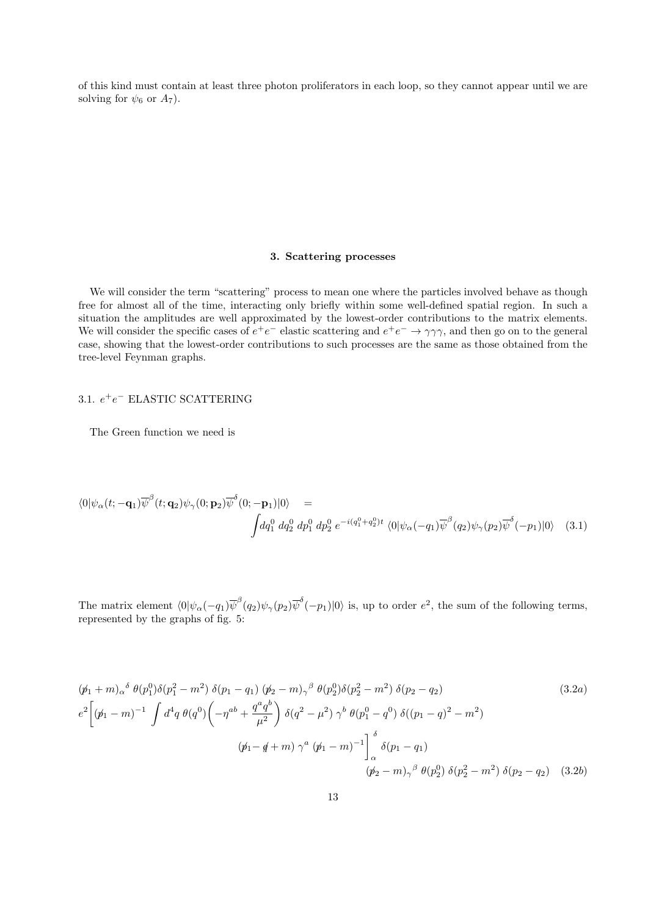of this kind must contain at least three photon proliferators in each loop, so they cannot appear until we are solving for  $\psi_6$  or  $A_7$ ).

## 3. Scattering processes

We will consider the term "scattering" process to mean one where the particles involved behave as though free for almost all of the time, interacting only briefly within some well-defined spatial region. In such a situation the amplitudes are well approximated by the lowest-order contributions to the matrix elements. We will consider the specific cases of  $e^+e^-$  elastic scattering and  $e^+e^- \to \gamma\gamma\gamma$ , and then go on to the general case, showing that the lowest-order contributions to such processes are the same as those obtained from the tree-level Feynman graphs.

# 3.1.  $e^+e^-$  ELASTIC SCATTERING

The Green function we need is

$$
\langle 0|\psi_{\alpha}(t;-\mathbf{q}_{1})\overline{\psi}^{\beta}(t;\mathbf{q}_{2})\psi_{\gamma}(0;\mathbf{p}_{2})\overline{\psi}^{\delta}(0;-\mathbf{p}_{1})|0\rangle =
$$
\n
$$
\int dq_{1}^{0} dq_{2}^{0} dp_{1}^{0} dp_{2}^{0} e^{-i(q_{1}^{0}+q_{2}^{0})t} \langle 0|\psi_{\alpha}(-q_{1})\overline{\psi}^{\beta}(q_{2})\psi_{\gamma}(p_{2})\overline{\psi}^{\delta}(-p_{1})|0\rangle \quad (3.1)
$$

The matrix element  $\langle 0 | \psi_\alpha(-q_1) \overline{\psi}^\beta(q_2) \psi_\gamma(p_2) \overline{\psi}^\delta(-p_1) | 0 \rangle$  is, up to order  $e^2$ , the sum of the following terms, represented by the graphs of fig. 5:

$$
(\not p_1 + m)_{\alpha}{}^{\delta} \theta(p_1^0) \delta(p_1^2 - m^2) \delta(p_1 - q_1) (\not p_2 - m)_{\gamma}{}^{\beta} \theta(p_2^0) \delta(p_2^2 - m^2) \delta(p_2 - q_2)
$$
\n
$$
e^2 \left[ (\not p_1 - m)^{-1} \int d^4 q \, \theta(q^0) \left( -\eta^{ab} + \frac{q^a q^b}{\mu^2} \right) \delta(q^2 - \mu^2) \gamma^b \, \theta(p_1^0 - q^0) \, \delta((p_1 - q)^2 - m^2)
$$
\n
$$
(\not p_1 - q + m) \, \gamma^a \, (\not p_1 - m)^{-1} \right]_{\alpha}^{\delta} \delta(p_1 - q_1)
$$
\n
$$
(\not p_2 - m)_{\gamma}{}^{\beta} \, \theta(p_2^0) \, \delta(p_2^2 - m^2) \, \delta(p_2 - q_2) \quad (3.2b)
$$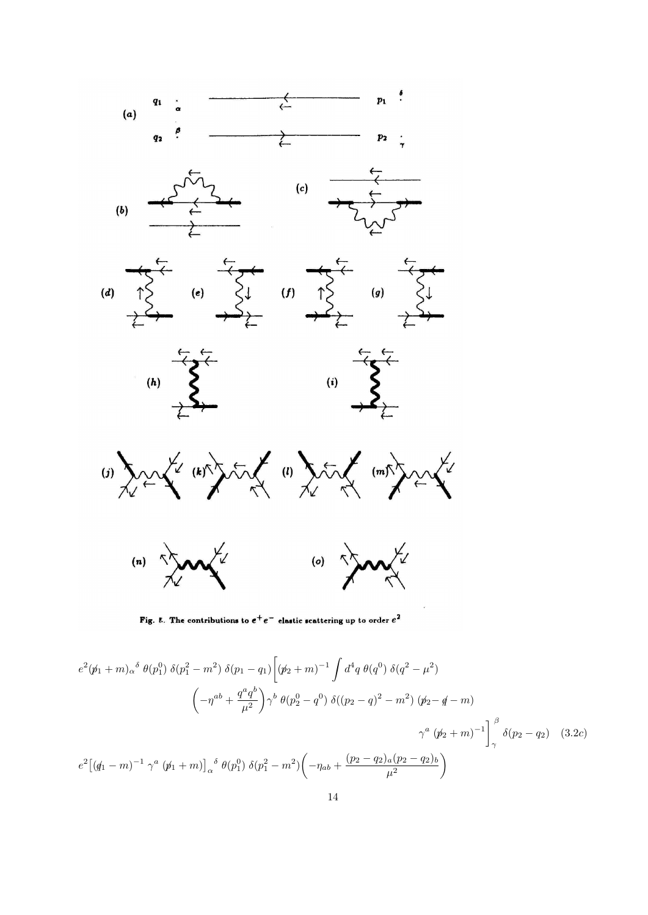

Fig. 8. The contributions to  $e^+e^-$  elastic scattering up to order  $e^2$ 

$$
e^{2}(\not{p}_{1} + m)_{\alpha}{}^{\delta} \theta(p_{1}^{0}) \delta(p_{1}^{2} - m^{2}) \delta(p_{1} - q_{1}) \left[ (\not{p}_{2} + m)^{-1} \int d^{4}q \theta(q^{0}) \delta(q^{2} - \mu^{2}) \right]
$$

$$
\left( -\eta^{ab} + \frac{q^{a}q^{b}}{\mu^{2}} \right) \gamma^{b} \theta(p_{2}^{0} - q^{0}) \delta((p_{2} - q)^{2} - m^{2}) (\not{p}_{2} - \not{q} - m)
$$

$$
\gamma^{a} (\not{p}_{2} + m)^{-1} \int_{\gamma}^{\beta} \delta(p_{2} - q_{2}) \quad (3.2c)
$$

$$
e^{2} \left[ (\not{q}_{1} - m)^{-1} \gamma^{a} (\not{p}_{1} + m) \right]_{\alpha}{}^{\delta} \theta(p_{1}^{0}) \delta(p_{1}^{2} - m^{2}) \left( -\eta_{ab} + \frac{(p_{2} - q_{2})_{a} (p_{2} - q_{2})_{b}}{\mu^{2}} \right)
$$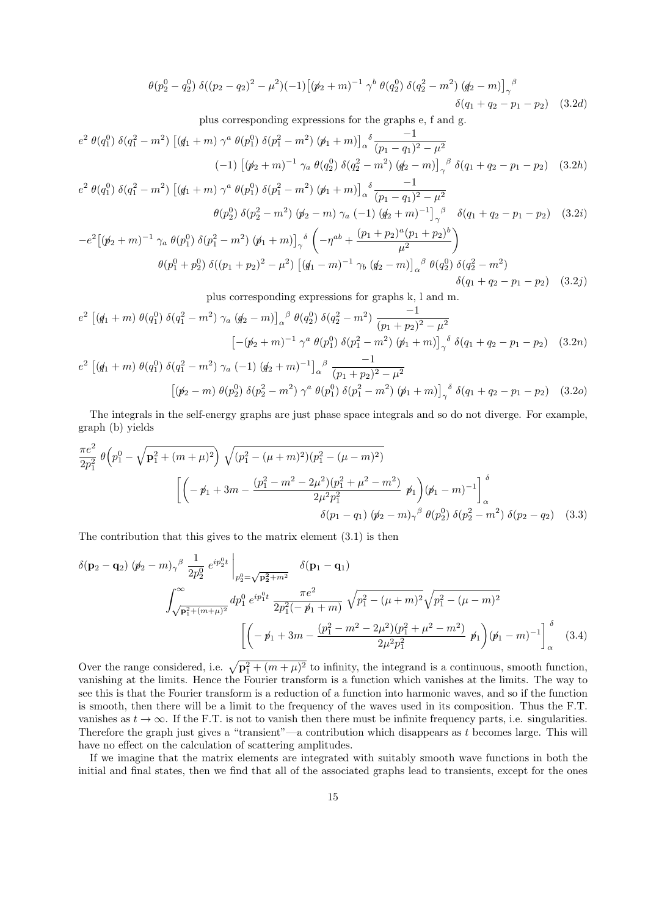$$
\theta(p_2^0 - q_2^0) \delta((p_2 - q_2)^2 - \mu^2)(-1) \left[ (\not p_2 + m)^{-1} \gamma^b \theta(q_2^0) \delta(q_2^2 - m^2) (q_2 - m) \right]_{\gamma}^{\beta} \delta(q_1 + q_2 - p_1 - p_2)
$$
 (3.2*d*)

plus corresponding expressions for the graphs e, f and g.

$$
e^{2} \theta(q_{1}^{0}) \delta(q_{1}^{2} - m^{2}) \left[ (\not{q}_{1} + m) \gamma^{a} \theta(p_{1}^{0}) \delta(p_{1}^{2} - m^{2}) (\not{p}_{1} + m) \right]_{\alpha}^{\delta} \frac{-1}{(p_{1} - q_{1})^{2} - \mu^{2}}
$$
  
\n
$$
(-1) \left[ (\not{p}_{2} + m)^{-1} \gamma_{a} \theta(q_{2}^{0}) \delta(q_{2}^{2} - m^{2}) (\not{q}_{2} - m) \right]_{\gamma}^{\beta} \delta(q_{1} + q_{2} - p_{1} - p_{2}) \quad (3.2h)
$$
  
\n
$$
e^{2} \theta(q_{0}^{0}) \delta(q_{2}^{2} - m^{2}) \left[ (\not{q}_{1} + m) \gamma^{a} \theta(q_{0}^{0}) \delta(q_{2}^{2} - m^{2}) (\not{q}_{1} + m) \right]_{\delta}^{\delta} \frac{-1}{(q_{1} - q_{1})^{2} - \mu^{2}}
$$

$$
e^{2} \theta(q_{1}^{0}) \delta(q_{1}^{2} - m^{2}) \left[ (g_{1} + m) \gamma^{a} \theta(p_{1}^{0}) \delta(p_{1}^{2} - m^{2}) (p_{1} + m) \right]_{\alpha}^{\delta} \frac{-1}{(p_{1} - q_{1})^{2} - \mu^{2}}
$$
  
\n
$$
\theta(p_{2}^{0}) \delta(p_{2}^{2} - m^{2}) (p_{2} - m) \gamma_{a} (-1) (q_{2} + m)^{-1} \gamma^{b} \delta(q_{1} + q_{2} - p_{1} - p_{2})
$$
 (3.2*i*)  
\n
$$
-e^{2} \left[ (p_{2} + m)^{-1} \gamma_{a} \theta(p_{1}^{0}) \delta(p_{1}^{2} - m^{2}) (p_{1} + m) \right]_{\gamma}^{\delta} \left( -\eta^{ab} + \frac{(p_{1} + p_{2})^{a} (p_{1} + p_{2})^{b}}{\mu^{2}} \right)
$$
  
\n
$$
\theta(p_{1}^{0} + p_{2}^{0}) \delta((p_{1} + p_{2})^{2} - \mu^{2}) \left[ (q_{1} - m)^{-1} \gamma_{b} (q_{2} - m) \right]_{\alpha}^{\beta} \theta(q_{2}^{0}) \delta(q_{2}^{2} - m^{2})
$$
  
\n
$$
\delta(q_{1} + q_{2} - p_{1} - p_{2})
$$
 (3.2*j*)

plus corresponding expressions for graphs k, l and m.

$$
e^{2} \left[ (q_{1} + m) \theta(q_{1}^{0}) \delta(q_{1}^{2} - m^{2}) \gamma_{a} (q_{2} - m) \right]_{\alpha}^{\beta} \theta(q_{2}^{0}) \delta(q_{2}^{2} - m^{2}) \frac{-1}{(p_{1} + p_{2})^{2} - \mu^{2}}
$$

$$
\left[ -(\not p_{2} + m)^{-1} \gamma^{a} \theta(p_{1}^{0}) \delta(p_{1}^{2} - m^{2}) (\not p_{1} + m) \right]_{\gamma}^{\delta} \delta(q_{1} + q_{2} - p_{1} - p_{2}) \quad (3.2n)
$$

$$
e^{2} \left[ (q_{1} + m) \theta(q_{1}^{0}) \delta(q_{1}^{2} - m^{2}) \gamma_{a} (-1) (q_{2} + m)^{-1} \right]_{\alpha}^{\beta} \frac{-1}{(p_{1} + p_{2})^{2} - \mu^{2}}
$$

$$
\left[ (\not p_{2} - m) \theta(p_{2}^{0}) \delta(p_{2}^{2} - m^{2}) \gamma^{a} \theta(p_{1}^{0}) \delta(p_{1}^{2} - m^{2}) (\not p_{1} + m) \right]_{\gamma}^{\delta} \delta(q_{1} + q_{2} - p_{1} - p_{2}) \quad (3.2o)
$$

The integrals in the self-energy graphs are just phase space integrals and so do not diverge. For example, graph (b) yields

$$
\frac{\pi e^2}{2p_1^2} \theta \left( p_1^0 - \sqrt{\mathbf{p}_1^2 + (m+\mu)^2} \right) \sqrt{(p_1^2 - (\mu+m)^2)(p_1^2 - (\mu-m)^2)}
$$
\n
$$
\left[ \left( -\cancel{p}_1 + 3m - \frac{(p_1^2 - m^2 - 2\mu^2)(p_1^2 + \mu^2 - m^2)}{2\mu^2 p_1^2} \cancel{p}_1 \right) (\cancel{p}_1 - m)^{-1} \right]_\alpha^\delta
$$
\n
$$
\delta(p_1 - q_1) \left( \cancel{p}_2 - m \right)_{\gamma}^\beta \theta \left( p_2^0 \right) \delta(p_2^2 - m^2) \delta(p_2 - q_2) \quad (3.3)
$$

The contribution that this gives to the matrix element (3.1) is then

$$
\delta(\mathbf{p}_2 - \mathbf{q}_2) (\not{p}_2 - m)_{\gamma}{}^{\beta} \frac{1}{2p_2^0} e^{ip_2^0 t} \Big|_{p_2^0 = \sqrt{\mathbf{p}_2^2 + m^2}} \delta(\mathbf{p}_1 - \mathbf{q}_1)
$$
  

$$
\int_{\sqrt{\mathbf{p}_1^2 + (m + \mu)^2}}^{\infty} dp_1^0 e^{ip_1^0 t} \frac{\pi e^2}{2p_1^2 (-\not{p}_1 + m)} \sqrt{p_1^2 - (\mu + m)^2} \sqrt{p_1^2 - (\mu - m)^2}
$$
  

$$
\left[ \left( -\not{p}_1 + 3m - \frac{(p_1^2 - m^2 - 2\mu^2)(p_1^2 + \mu^2 - m^2)}{2\mu^2 p_1^2} \not{p}_1 \right) (\not{p}_1 - m)^{-1} \right]_{\alpha}^{\delta} \tag{3.4}
$$

Over the range considered, i.e.  $\sqrt{\mathbf{p}_1^2 + (m + \mu)^2}$  to infinity, the integrand is a continuous, smooth function, vanishing at the limits. Hence the Fourier transform is a function which vanishes at the limits. The way to see this is that the Fourier transform is a reduction of a function into harmonic waves, and so if the function is smooth, then there will be a limit to the frequency of the waves used in its composition. Thus the F.T. vanishes as  $t \to \infty$ . If the F.T. is not to vanish then there must be infinite frequency parts, i.e. singularities. Therefore the graph just gives a "transient"—a contribution which disappears as t becomes large. This will have no effect on the calculation of scattering amplitudes.

If we imagine that the matrix elements are integrated with suitably smooth wave functions in both the initial and final states, then we find that all of the associated graphs lead to transients, except for the ones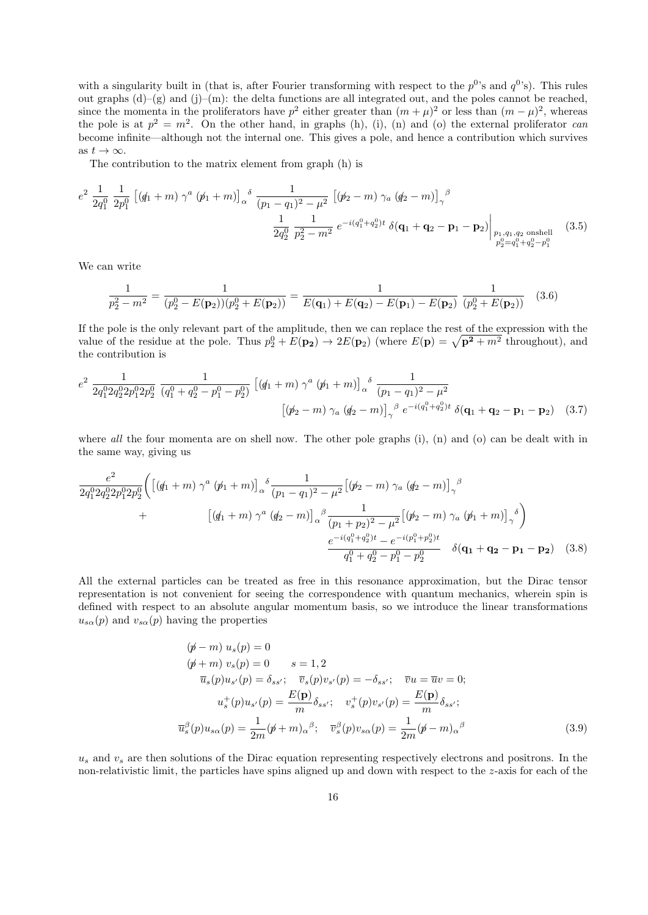with a singularity built in (that is, after Fourier transforming with respect to the  $p^0$ 's and  $q^0$ 's). This rules out graphs  $(d)$ –(g) and (j)–(m): the delta functions are all integrated out, and the poles cannot be reached, since the momenta in the proliferators have  $p^2$  either greater than  $(m + \mu)^2$  or less than  $(m - \mu)^2$ , whereas the pole is at  $p^2 = m^2$ . On the other hand, in graphs (h), (i), (n) and (o) the external proliferator can become infinite—although not the internal one. This gives a pole, and hence a contribution which survives as  $t \to \infty$ .

The contribution to the matrix element from graph (h) is

$$
e^{2} \frac{1}{2q_{1}^{0}} \frac{1}{2p_{1}^{0}} \left[ (\not{q}_{1} + m) \gamma^{a} (\not{p}_{1} + m) \right]_{\alpha}^{\delta} \frac{1}{(p_{1} - q_{1})^{2} - \mu^{2}} \left[ (\not{p}_{2} - m) \gamma_{a} (\not{q}_{2} - m) \right]_{\gamma}^{\beta} \n\frac{1}{2q_{2}^{0}} \frac{1}{p_{2}^{2} - m^{2}} e^{-i(q_{1}^{0} + q_{2}^{0})t} \delta(\mathbf{q}_{1} + \mathbf{q}_{2} - \mathbf{p}_{1} - \mathbf{p}_{2}) \Big|_{\substack{p_{1}, q_{1}, q_{2} \text{ onshell} \\ p_{2}^{0} = q_{1}^{0} + q_{2}^{0} - p_{1}^{0}}} (3.5)
$$

We can write

$$
\frac{1}{p_2^2 - m^2} = \frac{1}{(p_2^0 - E(\mathbf{p}_2))(p_2^0 + E(\mathbf{p}_2))} = \frac{1}{E(\mathbf{q}_1) + E(\mathbf{q}_2) - E(\mathbf{p}_1) - E(\mathbf{p}_2)} \frac{1}{(p_2^0 + E(\mathbf{p}_2))}
$$
(3.6)

If the pole is the only relevant part of the amplitude, then we can replace the rest of the expression with the value of the residue at the pole. Thus  $p_2^0 + E(\mathbf{p_2}) \to 2E(\mathbf{p_2})$  (where  $E(\mathbf{p}) = \sqrt{\mathbf{p^2} + m^2}$  throughout), and the contribution is

$$
e^{2} \frac{1}{2q_{1}^{0}2q_{2}^{0}2p_{1}^{0}2p_{2}^{0}} \frac{1}{(q_{1}^{0}+q_{2}^{0}-p_{1}^{0}-p_{2}^{0})} \left[ (q_{1}+m) \gamma^{a} (p_{1}+m) \right]_{\alpha}^{\delta} \frac{1}{(p_{1}-q_{1})^{2}-\mu^{2}} \left[ (p_{2}-m) \gamma_{a} (q_{2}-m) \right]_{\gamma}^{\beta} e^{-i(q_{1}^{0}+q_{2}^{0})t} \delta(\mathbf{q}_{1}+\mathbf{q}_{2}-\mathbf{p}_{1}-\mathbf{p}_{2}) \quad (3.7)
$$

where all the four momenta are on shell now. The other pole graphs (i), (n) and (o) can be dealt with in the same way, giving us

$$
\frac{e^2}{2q_1^0 2q_2^0 2p_1^0 2p_2^0} \left( \left[ \left( \phi_1 + m \right) \gamma^a \left( \phi_1 + m \right) \right]_{\alpha} \delta \frac{1}{(p_1 - q_1)^2 - \mu^2} \left[ \left( \phi_2 - m \right) \gamma_a \left( \phi_2 - m \right) \right]_{\gamma} \beta + \left[ \left( \phi_1 + m \right) \gamma^a \left( \phi_2 - m \right) \right]_{\alpha} \delta \frac{1}{(p_1 + p_2)^2 - \mu^2} \left[ \left( \phi_2 - m \right) \gamma_a \left( \phi_1 + m \right) \right]_{\gamma} \delta \right) + \frac{e^{-i \left( q_1^0 + q_2^0 \right)t} - e^{-i \left( p_1^0 + p_2^0 \right)t}}{q_1^0 + q_2^0 - p_1^0 - p_2^0} \delta(\mathbf{q_1} + \mathbf{q_2} - \mathbf{p_1} - \mathbf{p_2}) \quad (3.8)
$$

All the external particles can be treated as free in this resonance approximation, but the Dirac tensor representation is not convenient for seeing the correspondence with quantum mechanics, wherein spin is defined with respect to an absolute angular momentum basis, so we introduce the linear transformations  $u_{s\alpha}(p)$  and  $v_{s\alpha}(p)$  having the properties

$$
(\not p - m) u_s(p) = 0
$$
  
\n
$$
(\not p + m) v_s(p) = 0 \t s = 1, 2
$$
  
\n
$$
\overline{u}_s(p) u_{s'}(p) = \delta_{ss'}; \quad \overline{v}_s(p) v_{s'}(p) = -\delta_{ss'}; \quad \overline{v}u = \overline{u}v = 0;
$$
  
\n
$$
u_s^+(p) u_{s'}(p) = \frac{E(\mathbf{p})}{m} \delta_{ss'}; \quad v_s^+(p) v_{s'}(p) = \frac{E(\mathbf{p})}{m} \delta_{ss'};
$$
  
\n
$$
\overline{u}_s^{\beta}(p) u_{s\alpha}(p) = \frac{1}{2m} (\not p + m)_{\alpha}{}^{\beta}; \quad \overline{v}_s^{\beta}(p) v_{s\alpha}(p) = \frac{1}{2m} (\not p - m)_{\alpha}{}^{\beta}
$$
\n(3.9)

 $u_s$  and  $v_s$  are then solutions of the Dirac equation representing respectively electrons and positrons. In the non-relativistic limit, the particles have spins aligned up and down with respect to the z-axis for each of the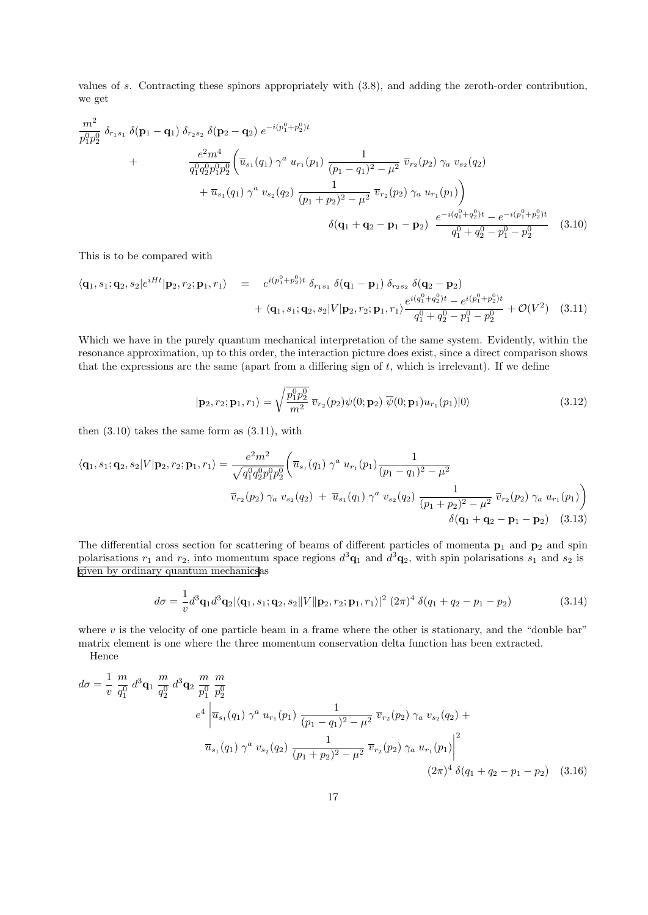values of s. Contracting these spinors appropriately with (3.8), and adding the zeroth-order contribution, we get

$$
\frac{m^2}{p_1^0 p_2^0} \delta_{r_1 s_1} \delta(\mathbf{p}_1 - \mathbf{q}_1) \delta_{r_2 s_2} \delta(\mathbf{p}_2 - \mathbf{q}_2) e^{-i(p_1^0 + p_2^0)t} \n+ \frac{e^2 m^4}{q_1^0 q_2^0 p_1^0 p_2^0} \left( \overline{u}_{s_1}(q_1) \gamma^a u_{r_1}(p_1) \frac{1}{(p_1 - q_1)^2 - \mu^2} \overline{v}_{r_2}(p_2) \gamma_a v_{s_2}(q_2) + \overline{u}_{s_1}(q_1) \gamma^a v_{s_2}(q_2) \frac{1}{(p_1 + p_2)^2 - \mu^2} \overline{v}_{r_2}(p_2) \gamma_a u_{r_1}(p_1) \right) \n+ \delta(\mathbf{q}_1 + \mathbf{q}_2 - \mathbf{p}_1 - \mathbf{p}_2) \frac{e^{-i(q_1^0 + q_2^0)t} - e^{-i(p_1^0 + p_2^0)t}}{q_1^0 + q_2^0 - p_1^0 - p_2^0} \tag{3.10}
$$

This is to be compared with

$$
\langle \mathbf{q}_1, s_1; \mathbf{q}_2, s_2 | e^{iHt} | \mathbf{p}_2, r_2; \mathbf{p}_1, r_1 \rangle = e^{i(p_1^0 + p_2^0)t} \delta_{r_1 s_1} \delta(\mathbf{q}_1 - \mathbf{p}_1) \delta_{r_2 s_2} \delta(\mathbf{q}_2 - \mathbf{p}_2) + \langle \mathbf{q}_1, s_1; \mathbf{q}_2, s_2 | V | \mathbf{p}_2, r_2; \mathbf{p}_1, r_1 \rangle \frac{e^{i(q_1^0 + q_2^0)t} - e^{i(p_1^0 + p_2^0)t}}{q_1^0 + q_2^0 - p_1^0 - p_2^0} + \mathcal{O}(V^2)
$$
 (3.11)

Which we have in the purely quantum mechanical interpretation of the same system. Evidently, within the resonance approximation, up to this order, the interaction picture does exist, since a direct comparison shows that the expressions are the same (apart from a differing sign of  $t$ , which is irrelevant). If we define

$$
|\mathbf{p}_2, r_2; \mathbf{p}_1, r_1\rangle = \sqrt{\frac{p_1^0 p_2^0}{m^2}} \overline{v}_{r_2}(p_2) \psi(0; \mathbf{p}_2) \overline{\psi}(0; \mathbf{p}_1) u_{r_1}(p_1)|0\rangle
$$
\n(3.12)

then  $(3.10)$  takes the same form as  $(3.11)$ , with

$$
\langle \mathbf{q}_1, s_1; \mathbf{q}_2, s_2 | V | \mathbf{p}_2, r_2; \mathbf{p}_1, r_1 \rangle = \frac{e^2 m^2}{\sqrt{q_1^0 q_2^0 p_1^0 p_2^0}} \left( \overline{u}_{s_1}(q_1) \ \gamma^a \ u_{r_1}(p_1) \frac{1}{(p_1 - q_1)^2 - \mu^2} \right. \left. \overline{v}_{r_2}(p_2) \ \gamma_a \ v_{s_2}(q_2) + \overline{u}_{s_1}(q_1) \ \gamma^a \ v_{s_2}(q_2) \ \frac{1}{(p_1 + p_2)^2 - \mu^2} \ \overline{v}_{r_2}(p_2) \ \gamma_a \ u_{r_1}(p_1) \right) \n\delta(\mathbf{q}_1 + \mathbf{q}_2 - \mathbf{p}_1 - \mathbf{p}_2) \tag{3.13}
$$

The differential cross section for scattering of beams of different particles of momenta  $p_1$  and  $p_2$  and spin polarisations  $r_1$  and  $r_2$ , into momentum space regions  $d^3\mathbf{q}_1$  and  $d^3\mathbf{q}_2$ , with spin polarisations  $s_1$  and  $s_2$  is [given by ordinary quantum mechanicsa](http://www.cgoakley.demon.co.uk/qft/2bodyxsec.pdf)s

$$
d\sigma = \frac{1}{v} d^3 \mathbf{q}_1 d^3 \mathbf{q}_2 |\langle \mathbf{q}_1, s_1; \mathbf{q}_2, s_2 || V || \mathbf{p}_2, r_2; \mathbf{p}_1, r_1 \rangle|^2 (2\pi)^4 \delta(q_1 + q_2 - p_1 - p_2)
$$
(3.14)

where  $v$  is the velocity of one particle beam in a frame where the other is stationary, and the "double bar" matrix element is one where the three momentum conservation delta function has been extracted.

Hence

$$
d\sigma = \frac{1}{v} \frac{m}{q_1^0} d^3 \mathbf{q}_1 \frac{m}{q_2^0} d^3 \mathbf{q}_2 \frac{m}{p_1^0} \frac{m}{p_2^0}
$$
  
\n
$$
e^4 \left| \overline{u}_{s_1}(q_1) \gamma^a u_{r_1}(p_1) \frac{1}{(p_1 - q_1)^2 - \mu^2} \overline{v}_{r_2}(p_2) \gamma_a v_{s_2}(q_2) + \overline{u}_{s_1}(q_1) \gamma^a v_{s_2}(q_2) \frac{1}{(p_1 + p_2)^2 - \mu^2} \overline{v}_{r_2}(p_2) \gamma_a u_{r_1}(p_1) \right|^2
$$
  
\n
$$
(2\pi)^4 \delta(q_1 + q_2 - p_1 - p_2) \quad (3.16)
$$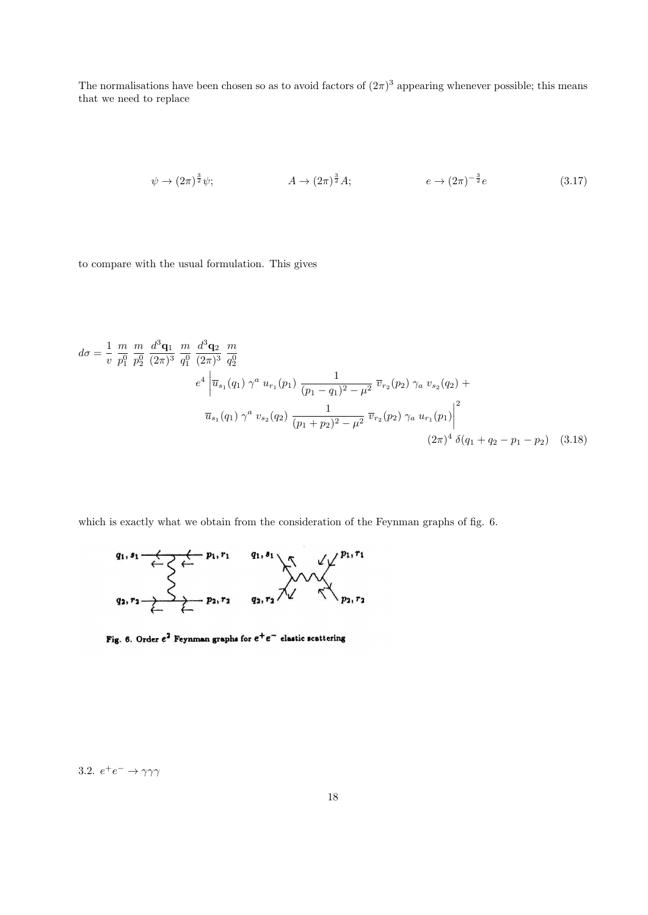The normalisations have been chosen so as to avoid factors of  $(2\pi)^3$  appearing whenever possible; this means that we need to replace

$$
\psi \to (2\pi)^{\frac{3}{2}}\psi; \qquad A \to (2\pi)^{\frac{3}{2}}A; \qquad e \to (2\pi)^{-\frac{3}{2}}e \qquad (3.17)
$$

to compare with the usual formulation. This gives

$$
d\sigma = \frac{1}{v} \frac{m}{p_1^0} \frac{m}{p_2^0} \frac{d^3 \mathbf{q}_1}{(2\pi)^3} \frac{m}{q_1^0} \frac{d^3 \mathbf{q}_2}{(2\pi)^3} \frac{m}{q_2^0}
$$
  
\n
$$
e^4 \left| \overline{u}_{s_1}(q_1) \gamma^a u_{r_1}(p_1) \frac{1}{(p_1 - q_1)^2 - \mu^2} \overline{v}_{r_2}(p_2) \gamma_a v_{s_2}(q_2) + \overline{u}_{s_1}(q_1) \gamma^a v_{s_2}(q_2) \frac{1}{(p_1 + p_2)^2 - \mu^2} \overline{v}_{r_2}(p_2) \gamma_a u_{r_1}(p_1) \right|^2
$$
  
\n
$$
(2\pi)^4 \delta(q_1 + q_2 - p_1 - p_2) \quad (3.18)
$$

which is exactly what we obtain from the consideration of the Feynman graphs of fig. 6.



Fig. 6. Order  $e^2$  Feynman graphs for  $e^+e^-$  elastic scattering

3.2.  $e^+e^- \rightarrow \gamma\gamma\gamma$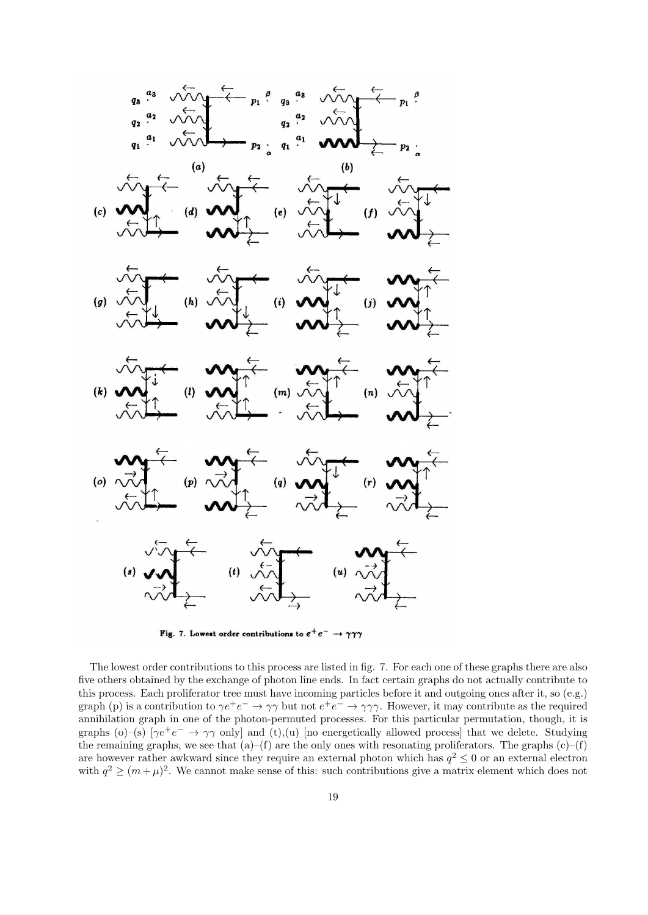

Fig. 7. Lowest order contributions to  $e^+e^- \rightarrow \gamma\gamma\gamma$ 

The lowest order contributions to this process are listed in fig. 7. For each one of these graphs there are also five others obtained by the exchange of photon line ends. In fact certain graphs do not actually contribute to this process. Each proliferator tree must have incoming particles before it and outgoing ones after it, so (e.g.) graph (p) is a contribution to  $\gamma e^+e^- \to \gamma\gamma$  but not  $e^+e^- \to \gamma\gamma\gamma$ . However, it may contribute as the required annihilation graph in one of the photon-permuted processes. For this particular permutation, though, it is graphs (o)–(s)  $[\gamma e^+e^- \to \gamma\gamma$  only and (t),(u) [no energetically allowed process] that we delete. Studying the remaining graphs, we see that  $(a)$ –(f) are the only ones with resonating proliferators. The graphs  $(c)$ –(f) are however rather awkward since they require an external photon which has  $q^2 \leq 0$  or an external electron with  $q^2 \geq (m+\mu)^2$ . We cannot make sense of this: such contributions give a matrix element which does not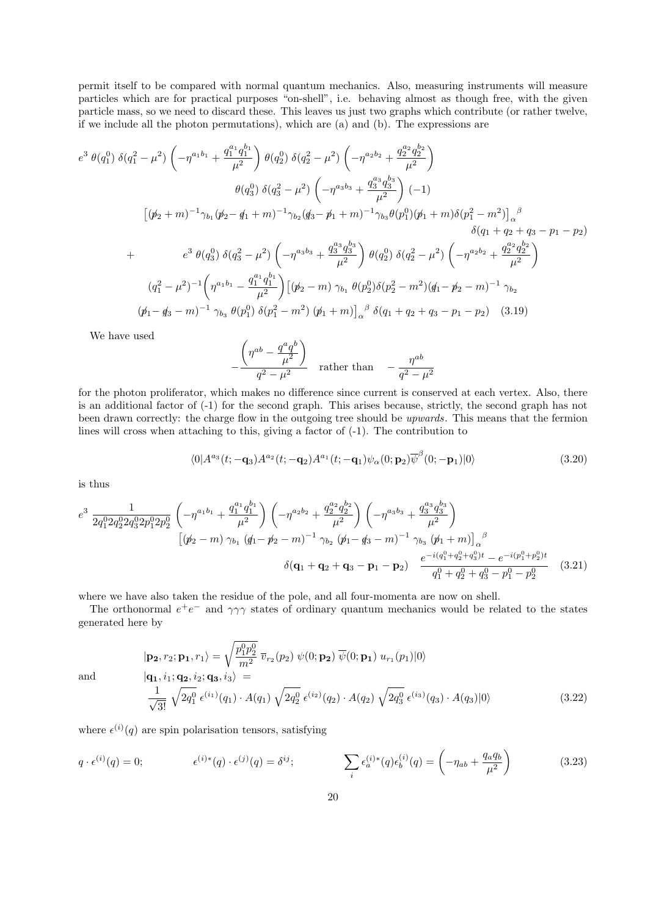permit itself to be compared with normal quantum mechanics. Also, measuring instruments will measure particles which are for practical purposes "on-shell", i.e. behaving almost as though free, with the given particle mass, so we need to discard these. This leaves us just two graphs which contribute (or rather twelve, if we include all the photon permutations), which are (a) and (b). The expressions are

$$
e^{3} \theta(q_{1}^{0}) \delta(q_{1}^{2} - \mu^{2}) \left( -\eta^{a_{1}b_{1}} + \frac{q_{1}^{a_{1}}q_{1}^{b_{1}}}{\mu^{2}} \right) \theta(q_{2}^{0}) \delta(q_{2}^{2} - \mu^{2}) \left( -\eta^{a_{2}b_{2}} + \frac{q_{2}^{a_{2}}q_{2}^{b_{2}}}{\mu^{2}} \right)
$$
  
\n
$$
\theta(q_{3}^{0}) \delta(q_{3}^{2} - \mu^{2}) \left( -\eta^{a_{3}b_{3}} + \frac{q_{3}^{a_{3}}q_{3}^{b_{3}}}{\mu^{2}} \right) (-1)
$$
  
\n
$$
\left[ (\not{p}_{2} + m)^{-1} \gamma_{b_{1}} (\not{p}_{2} - \not{q}_{1} + m)^{-1} \gamma_{b_{2}} (\not{q}_{3} - \not{p}_{1} + m)^{-1} \gamma_{b_{3}} \theta(p_{1}^{0}) (\not{p}_{1} + m) \delta(p_{1}^{2} - m^{2}) \right]_{\alpha}^{\beta}
$$
  
\n
$$
\delta(q_{1} + q_{2} + q_{3} - p_{1} - p_{2})
$$
  
\n
$$
+ e^{3} \theta(q_{3}^{0}) \delta(q_{3}^{2} - \mu^{2}) \left( -\eta^{a_{3}b_{3}} + \frac{q_{3}^{a_{3}}q_{3}^{b_{3}}}{\mu^{2}} \right) \theta(q_{2}^{0}) \delta(q_{2}^{2} - \mu^{2}) \left( -\eta^{a_{2}b_{2}} + \frac{q_{2}^{a_{2}}q_{2}^{b_{2}}}{\mu^{2}} \right)
$$
  
\n
$$
(q_{1}^{2} - \mu^{2})^{-1} \left( \eta^{a_{1}b_{1}} - \frac{q_{1}^{a_{1}}q_{1}^{b_{1}}}{\mu^{2}} \right) \left[ (\not{p}_{2} - m) \gamma_{b_{1}} \theta(p_{2}^{0}) \delta(p_{2}^{2} - m^{2}) (\not{q}_{1} - \not{p}_{2} - m)^{-1} \gamma_{b_{2}}
$$
  
\n
$$
(\not{p}_{1} - \not{q}_{3} - m)^{-1} \gamma_{b_{3}} \theta(p_{1}^{0}) \delta(p_{1}^{2} - m^{2}) (\
$$

We have used

$$
-\frac{\left(\eta^{ab} - \frac{q^a q^b}{\mu^2}\right)}{q^2 - \mu^2}
$$
 rather than 
$$
-\frac{\eta^{ab}}{q^2 - \mu^2}
$$

for the photon proliferator, which makes no difference since current is conserved at each vertex. Also, there is an additional factor of (-1) for the second graph. This arises because, strictly, the second graph has not been drawn correctly: the charge flow in the outgoing tree should be upwards. This means that the fermion lines will cross when attaching to this, giving a factor of (-1). The contribution to

$$
\langle 0|A^{a_3}(t;-\mathbf{q}_3)A^{a_2}(t;-\mathbf{q}_2)A^{a_1}(t;-\mathbf{q}_1)\psi_\alpha(0;\mathbf{p}_2)\overline{\psi}^\beta(0;-\mathbf{p}_1)|0\rangle\tag{3.20}
$$

is thus

$$
e^{3} \frac{1}{2q_{1}^{0}2q_{2}^{0}2q_{3}^{0}2p_{1}^{0}2p_{2}^{0}} \left(-\eta^{a_{1}b_{1}} + \frac{q_{1}^{a_{1}}q_{1}^{b_{1}}}{\mu^{2}}\right) \left(-\eta^{a_{2}b_{2}} + \frac{q_{2}^{a_{2}}q_{2}^{b_{2}}}{\mu^{2}}\right) \left(-\eta^{a_{3}b_{3}} + \frac{q_{3}^{a_{3}}q_{3}^{b_{3}}}{\mu^{2}}\right)
$$

$$
\left[(\not p_{2} - m) \gamma_{b_{1}} (\not q_{1} - \not p_{2} - m)^{-1} \gamma_{b_{2}} (\not p_{1} - \not q_{3} - m)^{-1} \gamma_{b_{3}} (\not p_{1} + m)\right]_{\alpha}^{\beta}
$$

$$
\delta(\mathbf{q}_{1} + \mathbf{q}_{2} + \mathbf{q}_{3} - \mathbf{p}_{1} - \mathbf{p}_{2}) \frac{e^{-i(q_{1}^{0} + q_{2}^{0} + q_{3}^{0})t} - e^{-i(p_{1}^{0} + p_{2}^{0})t}}{q_{1}^{0} + q_{2}^{0} + q_{3}^{0} - p_{1}^{0} - p_{2}^{0}} \qquad (3.21)
$$

where we have also taken the residue of the pole, and all four-momenta are now on shell.

The orthonormal  $e^+e^-$  and  $\gamma\gamma\gamma$  states of ordinary quantum mechanics would be related to the states generated here by

$$
|\mathbf{p_2}, r_2; \mathbf{p_1}, r_1\rangle = \sqrt{\frac{p_1^0 p_2^0}{m^2}} \overline{v}_{r_2}(p_2) \ \psi(0; \mathbf{p_2}) \ \overline{\psi}(0; \mathbf{p_1}) \ u_{r_1}(p_1)|0\rangle
$$
  
and  

$$
|\mathbf{q_1}, i_1; \mathbf{q_2}, i_2; \mathbf{q_3}, i_3\rangle = \frac{1}{\sqrt{3!}} \sqrt{2q_1^0} \ \epsilon^{(i_1)}(q_1) \cdot A(q_1) \ \sqrt{2q_2^0} \ \epsilon^{(i_2)}(q_2) \cdot A(q_2) \ \sqrt{2q_3^0} \ \epsilon^{(i_3)}(q_3) \cdot A(q_3)|0\rangle
$$
 (3.22)

where  $\epsilon^{(i)}(q)$  are spin polarisation tensors, satisfying

$$
q \cdot \epsilon^{(i)}(q) = 0; \qquad \epsilon^{(i)*}(q) \cdot \epsilon^{(j)}(q) = \delta^{ij}; \qquad \sum_i \epsilon_a^{(i)*}(q) \epsilon_b^{(i)}(q) = \left(-\eta_{ab} + \frac{q_a q_b}{\mu^2}\right)
$$
(3.23)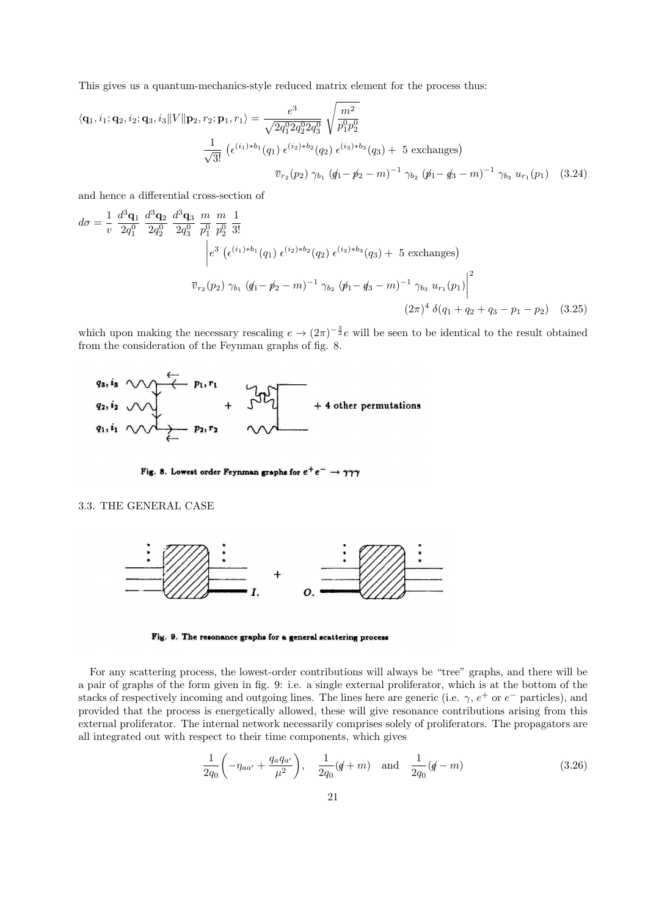This gives us a quantum-mechanics-style reduced matrix element for the process thus:

$$
\langle \mathbf{q}_1, i_1; \mathbf{q}_2, i_2; \mathbf{q}_3, i_3 \| V \| \mathbf{p}_2, r_2; \mathbf{p}_1, r_1 \rangle = \frac{e^3}{\sqrt{2q_1^0 2q_2^0 2q_3^0}} \sqrt{\frac{m^2}{p_1^0 p_2^0}}
$$

$$
\frac{1}{\sqrt{3!}} \left( \epsilon^{(i_1)*b_1}(q_1) \epsilon^{(i_2)*b_2}(q_2) \epsilon^{(i_3)*b_3}(q_3) + 5 \text{ exchanges} \right)
$$

$$
\overline{v}_{r_2}(p_2) \gamma_{b_1} (q_1 - p_2 - m)^{-1} \gamma_{b_2} (p_1 - q_3 - m)^{-1} \gamma_{b_3} u_{r_1}(p_1) \quad (3.24)
$$

and hence a differential cross-section of

$$
d\sigma = \frac{1}{v} \frac{d^3 \mathbf{q}_1}{2q_1^0} \frac{d^3 \mathbf{q}_2}{2q_2^0} \frac{d^3 \mathbf{q}_3}{2q_3^0} \frac{m}{p_1^0} \frac{m}{p_2^0} \frac{1}{3!}
$$
  
\n
$$
\begin{vmatrix}\ne^3 (\epsilon^{(i_1)*b_1}(q_1) \epsilon^{(i_2)*b_2}(q_2) \epsilon^{(i_3)*b_3}(q_3) + 5 \text{ exchanges}) \\
\vdots \\
\frac{m}{v_{r_2}(p_2)} \gamma_{b_1} (q_1 - p_2 - m)^{-1} \gamma_{b_2} (p_1 - q_3 - m)^{-1} \gamma_{b_3} u_{r_1}(p_1)\n\end{vmatrix}^2
$$
  
\n
$$
(2\pi)^4 \delta(q_1 + q_2 + q_3 - p_1 - p_2) \quad (3.25)
$$

which upon making the necessary rescaling  $e \to (2\pi)^{-\frac{3}{2}}e$  will be seen to be identical to the result obtained from the consideration of the Feynman graphs of fig. 8.



Fig. 8. Lowest order Feynman graphs for  $e^+e^- \rightarrow \gamma\gamma\gamma$ 

### 3.3. THE GENERAL CASE



Fig. 9. The resonance graphs for a general scattering process

For any scattering process, the lowest-order contributions will always be "tree" graphs, and there will be a pair of graphs of the form given in fig. 9: i.e. a single external proliferator, which is at the bottom of the stacks of respectively incoming and outgoing lines. The lines here are generic (i.e.  $\gamma$ ,  $e^+$  or  $e^-$  particles), and provided that the process is energetically allowed, these will give resonance contributions arising from this external proliferator. The internal network necessarily comprises solely of proliferators. The propagators are all integrated out with respect to their time components, which gives

$$
\frac{1}{2q_0} \left( -\eta_{aa'} + \frac{q_a q_{a'}}{\mu^2} \right), \quad \frac{1}{2q_0} (q+m) \quad \text{and} \quad \frac{1}{2q_0} (q-m) \tag{3.26}
$$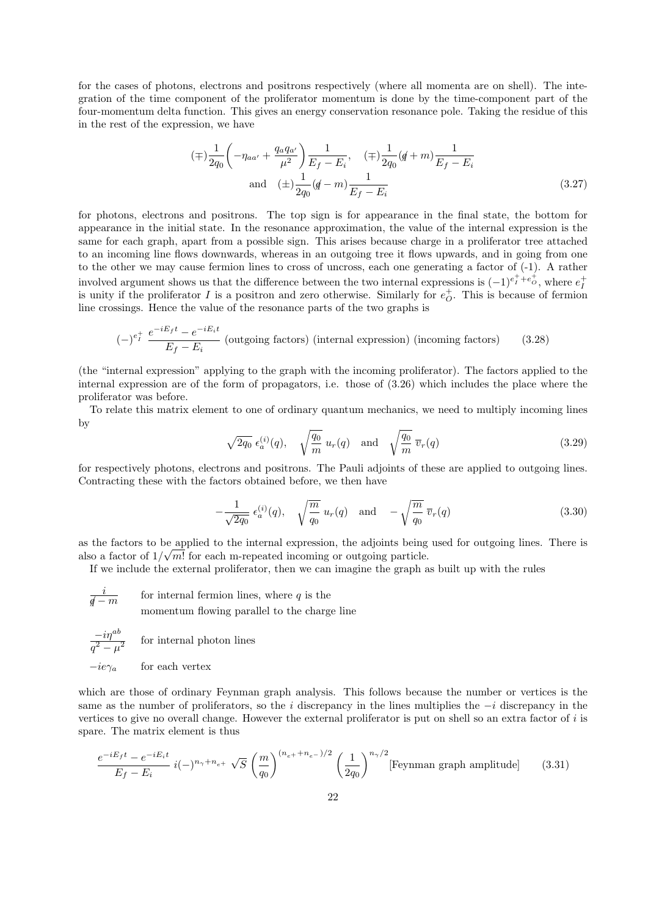for the cases of photons, electrons and positrons respectively (where all momenta are on shell). The integration of the time component of the proliferator momentum is done by the time-component part of the four-momentum delta function. This gives an energy conservation resonance pole. Taking the residue of this in the rest of the expression, we have

$$
(\mp)\frac{1}{2q_0}\left(-\eta_{aa'} + \frac{q_aq_{a'}}{\mu^2}\right)\frac{1}{E_f - E_i}, \quad (\mp)\frac{1}{2q_0}(q+m)\frac{1}{E_f - E_i}
$$
  
and 
$$
(\pm)\frac{1}{2q_0}(q-m)\frac{1}{E_f - E_i}
$$
(3.27)

for photons, electrons and positrons. The top sign is for appearance in the final state, the bottom for appearance in the initial state. In the resonance approximation, the value of the internal expression is the same for each graph, apart from a possible sign. This arises because charge in a proliferator tree attached to an incoming line flows downwards, whereas in an outgoing tree it flows upwards, and in going from one to the other we may cause fermion lines to cross of uncross, each one generating a factor of (-1). A rather involved argument shows us that the difference between the two internal expressions is  $(-1)^{e^+_I+e^+_O}$ , where  $e^+_I$ is unity if the proliferator I is a positron and zero otherwise. Similarly for  $e^+_O$ . This is because of fermion line crossings. Hence the value of the resonance parts of the two graphs is

$$
(-)^{e_I^+} \frac{e^{-iE_f t} - e^{-iE_i t}}{E_f - E_i}
$$
 (outgoing factors) (internal expression) (incoming factors) (3.28)

(the "internal expression" applying to the graph with the incoming proliferator). The factors applied to the internal expression are of the form of propagators, i.e. those of (3.26) which includes the place where the proliferator was before.

To relate this matrix element to one of ordinary quantum mechanics, we need to multiply incoming lines by

$$
\sqrt{2q_0} \epsilon_a^{(i)}(q), \quad \sqrt{\frac{q_0}{m}} u_r(q) \quad \text{and} \quad \sqrt{\frac{q_0}{m}} \overline{v}_r(q) \tag{3.29}
$$

for respectively photons, electrons and positrons. The Pauli adjoints of these are applied to outgoing lines. Contracting these with the factors obtained before, we then have

$$
-\frac{1}{\sqrt{2q_0}}\epsilon_a^{(i)}(q), \quad \sqrt{\frac{m}{q_0}}\,u_r(q) \quad \text{and} \quad -\sqrt{\frac{m}{q_0}}\,\overline{v}_r(q) \tag{3.30}
$$

as the factors to be applied to the internal expression, the adjoints being used for outgoing lines. There is also a factor of  $1/\sqrt{m!}$  for each m-repeated incoming or outgoing particle.

If we include the external proliferator, then we can imagine the graph as built up with the rules

$$
\frac{i}{\cancel{q}-m}
$$
 for internal fermion lines, where *q* is the  
momentum flowing parallel to the charge line

$$
\frac{-i\eta^{ab}}{l^2 - \mu^2}
$$
 for internal photon lines

 $-ie\gamma_a$  for each vertex

 $\overline{q}$ 

which are those of ordinary Feynman graph analysis. This follows because the number or vertices is the same as the number of proliferators, so the i discrepancy in the lines multiplies the  $-i$  discrepancy in the vertices to give no overall change. However the external proliferator is put on shell so an extra factor of i is spare. The matrix element is thus

$$
\frac{e^{-iE_f t} - e^{-iE_i t}}{E_f - E_i} \ i(-)^{n_\gamma + n_{e^+}} \sqrt{S} \left(\frac{m}{q_0}\right)^{(n_{e^+} + n_{e^-})/2} \left(\frac{1}{2q_0}\right)^{n_\gamma/2} \text{[Feynman graph amplitude]} \tag{3.31}
$$